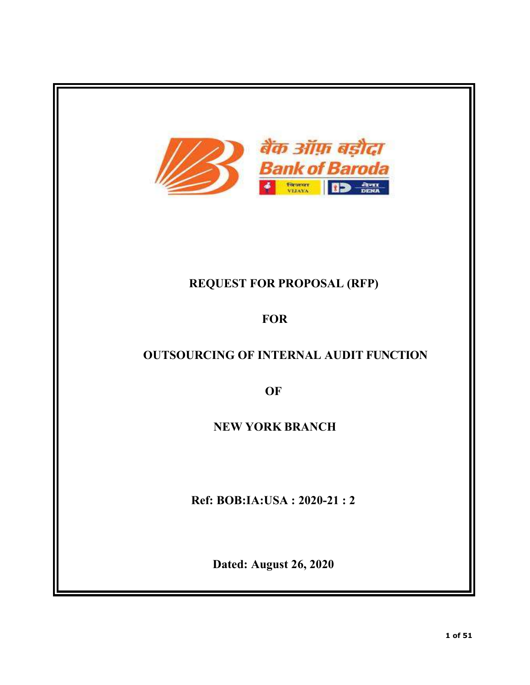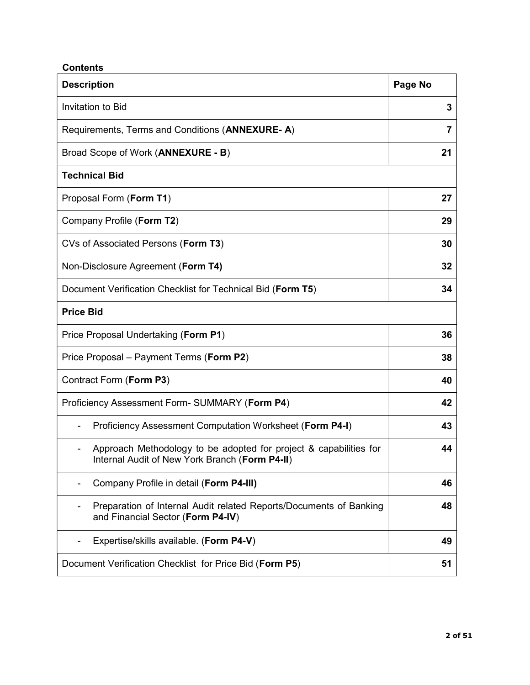# **Contents**

| <b>Description</b>                                                                                                  | Page No |
|---------------------------------------------------------------------------------------------------------------------|---------|
| <b>Invitation to Bid</b>                                                                                            | 3       |
| Requirements, Terms and Conditions (ANNEXURE-A)                                                                     | 7       |
| Broad Scope of Work (ANNEXURE - B)                                                                                  | 21      |
| <b>Technical Bid</b>                                                                                                |         |
| Proposal Form (Form T1)                                                                                             | 27      |
| Company Profile (Form T2)                                                                                           | 29      |
| CVs of Associated Persons (Form T3)                                                                                 | 30      |
| Non-Disclosure Agreement (Form T4)                                                                                  | 32      |
| Document Verification Checklist for Technical Bid (Form T5)                                                         | 34      |
| <b>Price Bid</b>                                                                                                    |         |
| Price Proposal Undertaking (Form P1)                                                                                | 36      |
| Price Proposal – Payment Terms (Form P2)                                                                            | 38      |
| Contract Form (Form P3)                                                                                             | 40      |
| Proficiency Assessment Form- SUMMARY (Form P4)                                                                      | 42      |
| Proficiency Assessment Computation Worksheet (Form P4-I)                                                            | 43      |
| Approach Methodology to be adopted for project & capabilities for<br>Internal Audit of New York Branch (Form P4-II) | 44      |
| Company Profile in detail (Form P4-III)                                                                             | 46      |
| Preparation of Internal Audit related Reports/Documents of Banking<br>and Financial Sector (Form P4-IV)             | 48      |
| Expertise/skills available. (Form P4-V)                                                                             | 49      |
| Document Verification Checklist for Price Bid (Form P5)                                                             | 51      |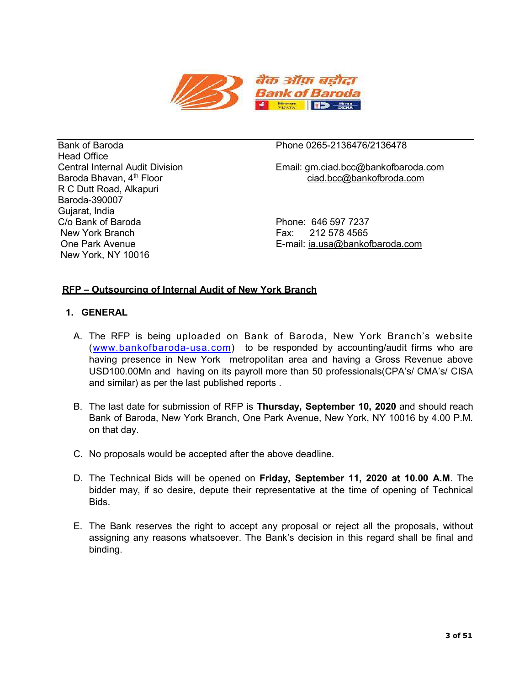

Head Office R C Dutt Road, Alkapuri Baroda-390007 Gujarat, India C/o Bank of Baroda Phone: 646 597 7237 New York Branch Fax: 212 578 4565 New York, NY 10016

## Bank of Baroda Phone 0265-2136476/2136478

Central Internal Audit Division Email: gm.ciad.bcc@bankofbaroda.com Baroda Bhavan, 4<sup>th</sup> Floor ciad.bcc@bankofbroda.com

One Park Avenue E-mail: ia.usa@bankofbaroda.com

## RFP – Outsourcing of Internal Audit of New York Branch

## 1. GENERAL

- A. The RFP is being uploaded on Bank of Baroda, New York Branch's website (www.bankofbaroda-usa.com) to be responded by accounting/audit firms who are having presence in New York metropolitan area and having a Gross Revenue above USD100.00Mn and having on its payroll more than 50 professionals(CPA's/ CMA's/ CISA and similar) as per the last published reports .
- B. The last date for submission of RFP is Thursday, September 10, 2020 and should reach Bank of Baroda, New York Branch, One Park Avenue, New York, NY 10016 by 4.00 P.M. on that day.
- C. No proposals would be accepted after the above deadline.
- D. The Technical Bids will be opened on Friday, September 11, 2020 at 10.00 A.M. The bidder may, if so desire, depute their representative at the time of opening of Technical Bids.
- E. The Bank reserves the right to accept any proposal or reject all the proposals, without assigning any reasons whatsoever. The Bank's decision in this regard shall be final and binding.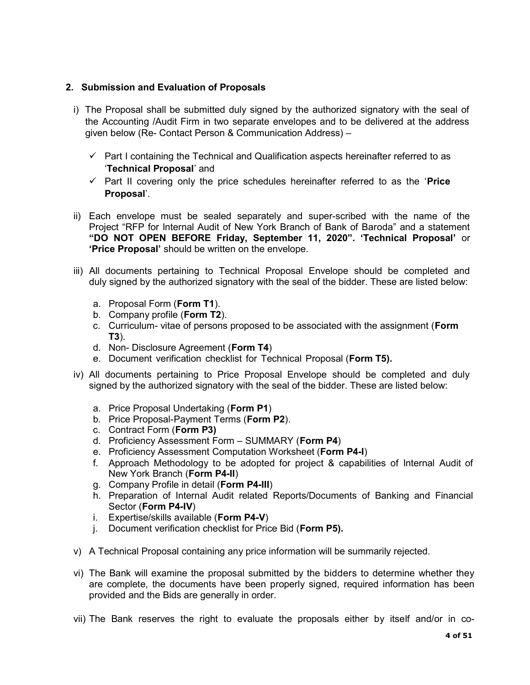## 2. Submission and Evaluation of Proposals

- i) The Proposal shall be submitted duly signed by the authorized signatory with the seal of the Accounting /Audit Firm in two separate envelopes and to be delivered at the address given below (Re- Contact Person & Communication Address) –
	- $\checkmark$  Part I containing the Technical and Qualification aspects hereinafter referred to as 'Technical Proposal' and
	- $\checkmark$  Part II covering only the price schedules hereinafter referred to as the 'Price Proposal'.
- ii) Each envelope must be sealed separately and super-scribed with the name of the Project "RFP for Internal Audit of New York Branch of Bank of Baroda" and a statement "DO NOT OPEN BEFORE Friday, September 11, 2020". 'Technical Proposal' or 'Price Proposal' should be written on the envelope.
- iii) All documents pertaining to Technical Proposal Envelope should be completed and duly signed by the authorized signatory with the seal of the bidder. These are listed below:
	- a. Proposal Form (Form T1).
	- b. Company profile (Form T2).
	- c. Curriculum- vitae of persons proposed to be associated with the assignment (Form T3).
	- d. Non- Disclosure Agreement (Form T4)
	- e. Document verification checklist for Technical Proposal (Form T5).
- iv) All documents pertaining to Price Proposal Envelope should be completed and duly signed by the authorized signatory with the seal of the bidder. These are listed below:
	- a. Price Proposal Undertaking (Form P1)
	- b. Price Proposal-Payment Terms (Form P2).
	- c. Contract Form (Form P3)
	- d. Proficiency Assessment Form SUMMARY (Form P4)
	- e. Proficiency Assessment Computation Worksheet (Form P4-I)
	- f. Approach Methodology to be adopted for project & capabilities of Internal Audit of New York Branch (Form P4-II)
	- g. Company Profile in detail (Form P4-III)
	- h. Preparation of Internal Audit related Reports/Documents of Banking and Financial Sector (Form P4-IV)
	- i. Expertise/skills available (Form P4-V)
	- j. Document verification checklist for Price Bid (Form P5).
- v) A Technical Proposal containing any price information will be summarily rejected.
- vi) The Bank will examine the proposal submitted by the bidders to determine whether they are complete, the documents have been properly signed, required information has been provided and the Bids are generally in order.
- vii) The Bank reserves the right to evaluate the proposals either by itself and/or in co-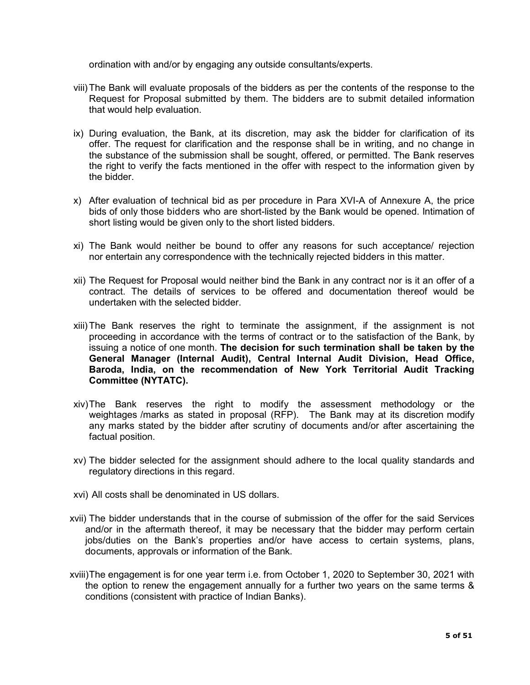ordination with and/or by engaging any outside consultants/experts.

- viii) The Bank will evaluate proposals of the bidders as per the contents of the response to the Request for Proposal submitted by them. The bidders are to submit detailed information that would help evaluation.
- ix) During evaluation, the Bank, at its discretion, may ask the bidder for clarification of its offer. The request for clarification and the response shall be in writing, and no change in the substance of the submission shall be sought, offered, or permitted. The Bank reserves the right to verify the facts mentioned in the offer with respect to the information given by the bidder.
- x) After evaluation of technical bid as per procedure in Para XVI-A of Annexure A, the price bids of only those bidders who are short-listed by the Bank would be opened. Intimation of short listing would be given only to the short listed bidders.
- xi) The Bank would neither be bound to offer any reasons for such acceptance/ rejection nor entertain any correspondence with the technically rejected bidders in this matter.
- xii) The Request for Proposal would neither bind the Bank in any contract nor is it an offer of a contract. The details of services to be offered and documentation thereof would be undertaken with the selected bidder.
- xiii) The Bank reserves the right to terminate the assignment, if the assignment is not proceeding in accordance with the terms of contract or to the satisfaction of the Bank, by issuing a notice of one month. The decision for such termination shall be taken by the General Manager (Internal Audit), Central Internal Audit Division, Head Office, Baroda, India, on the recommendation of New York Territorial Audit Tracking Committee (NYTATC).
- xiv) The Bank reserves the right to modify the assessment methodology or the weightages /marks as stated in proposal (RFP). The Bank may at its discretion modify any marks stated by the bidder after scrutiny of documents and/or after ascertaining the factual position.
- xv) The bidder selected for the assignment should adhere to the local quality standards and regulatory directions in this regard.
- xvi) All costs shall be denominated in US dollars.
- xvii) The bidder understands that in the course of submission of the offer for the said Services and/or in the aftermath thereof, it may be necessary that the bidder may perform certain jobs/duties on the Bank's properties and/or have access to certain systems, plans, documents, approvals or information of the Bank.
- xviii) The engagement is for one year term i.e. from October 1, 2020 to September 30, 2021 with the option to renew the engagement annually for a further two years on the same terms & conditions (consistent with practice of Indian Banks).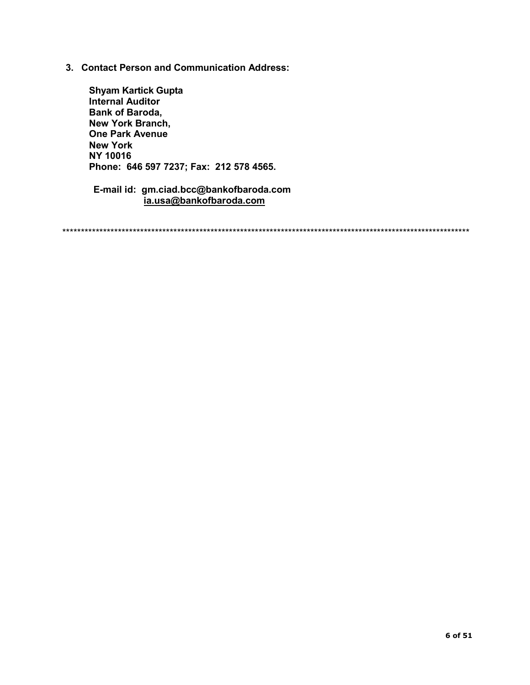3. Contact Person and Communication Address:

Shyam Kartick Gupta Internal Auditor Bank of Baroda, New York Branch, One Park Avenue New York NY 10016 Phone: 646 597 7237; Fax: 212 578 4565.

E-mail id: gm.ciad.bcc@bankofbaroda.com ia.usa@bankofbaroda.com

\*\*\*\*\*\*\*\*\*\*\*\*\*\*\*\*\*\*\*\*\*\*\*\*\*\*\*\*\*\*\*\*\*\*\*\*\*\*\*\*\*\*\*\*\*\*\*\*\*\*\*\*\*\*\*\*\*\*\*\*\*\*\*\*\*\*\*\*\*\*\*\*\*\*\*\*\*\*\*\*\*\*\*\*\*\*\*\*\*\*\*\*\*\*\*\*\*\*\*\*\*\*\*\*\*\*\*\*\*\*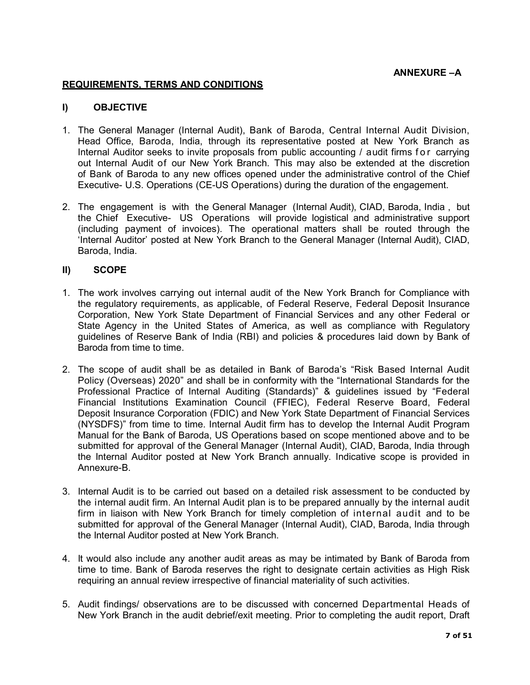ANNEXURE –A

#### REQUIREMENTS, TERMS AND CONDITIONS

#### I) OBJECTIVE

- 1. The General Manager (Internal Audit), Bank of Baroda, Central Internal Audit Division, Head Office, Baroda, India, through its representative posted at New York Branch as Internal Auditor seeks to invite proposals from public accounting / audit firms for carrying out Internal Audit of our New York Branch. This may also be extended at the discretion of Bank of Baroda to any new offices opened under the administrative control of the Chief Executive- U.S. Operations (CE-US Operations) during the duration of the engagement.
- 2. The engagement is with the General Manager (Internal Audit), CIAD, Baroda, India , but the Chief Executive- US Operations will provide logistical and administrative support (including payment of invoices). The operational matters shall be routed through the 'Internal Auditor' posted at New York Branch to the General Manager (Internal Audit), CIAD, Baroda, India.

#### II) SCOPE

- 1. The work involves carrying out internal audit of the New York Branch for Compliance with the regulatory requirements, as applicable, of Federal Reserve, Federal Deposit Insurance Corporation, New York State Department of Financial Services and any other Federal or State Agency in the United States of America, as well as compliance with Regulatory guidelines of Reserve Bank of India (RBI) and policies & procedures laid down by Bank of Baroda from time to time.
- 2. The scope of audit shall be as detailed in Bank of Baroda's "Risk Based Internal Audit Policy (Overseas) 2020" and shall be in conformity with the "International Standards for the Professional Practice of Internal Auditing (Standards)" & guidelines issued by "Federal Financial Institutions Examination Council (FFIEC), Federal Reserve Board, Federal Deposit Insurance Corporation (FDIC) and New York State Department of Financial Services (NYSDFS)" from time to time. Internal Audit firm has to develop the Internal Audit Program Manual for the Bank of Baroda, US Operations based on scope mentioned above and to be submitted for approval of the General Manager (Internal Audit), CIAD, Baroda, India through the Internal Auditor posted at New York Branch annually. Indicative scope is provided in Annexure-B.
- 3. Internal Audit is to be carried out based on a detailed risk assessment to be conducted by the internal audit firm. An Internal Audit plan is to be prepared annually by the internal audit firm in liaison with New York Branch for timely completion of internal audit and to be submitted for approval of the General Manager (Internal Audit), CIAD, Baroda, India through the Internal Auditor posted at New York Branch.
- 4. It would also include any another audit areas as may be intimated by Bank of Baroda from time to time. Bank of Baroda reserves the right to designate certain activities as High Risk requiring an annual review irrespective of financial materiality of such activities.
- 5. Audit findings/ observations are to be discussed with concerned Departmental Heads of New York Branch in the audit debrief/exit meeting. Prior to completing the audit report, Draft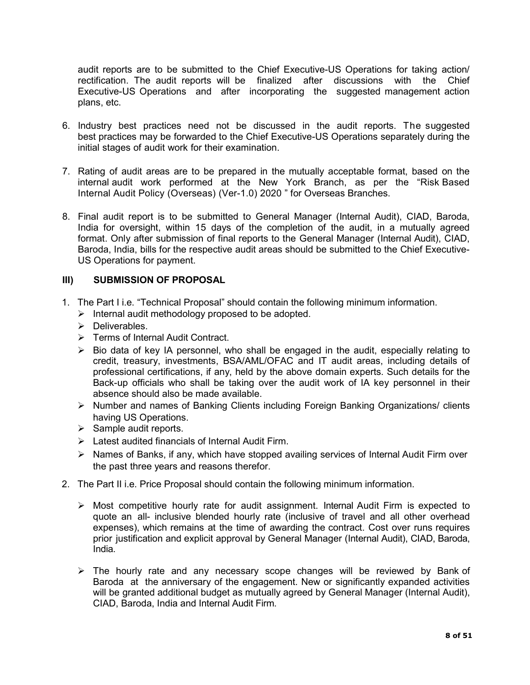audit reports are to be submitted to the Chief Executive-US Operations for taking action/ rectification. The audit reports will be finalized after discussions with the Chief Executive-US Operations and after incorporating the suggested management action plans, etc.

- 6. Industry best practices need not be discussed in the audit reports. The suggested best practices may be forwarded to the Chief Executive-US Operations separately during the initial stages of audit work for their examination.
- 7. Rating of audit areas are to be prepared in the mutually acceptable format, based on the internal audit work performed at the New York Branch, as per the "Risk Based Internal Audit Policy (Overseas) (Ver-1.0) 2020 " for Overseas Branches.
- 8. Final audit report is to be submitted to General Manager (Internal Audit), CIAD, Baroda, India for oversight, within 15 days of the completion of the audit, in a mutually agreed format. Only after submission of final reports to the General Manager (Internal Audit), CIAD, Baroda, India, bills for the respective audit areas should be submitted to the Chief Executive-US Operations for payment.

### III) SUBMISSION OF PROPOSAL

- 1. The Part I i.e. "Technical Proposal" should contain the following minimum information.
	- $\triangleright$  Internal audit methodology proposed to be adopted.
	- $\triangleright$  Deliverables.
	- Ferms of Internal Audit Contract.
	- $\triangleright$  Bio data of key IA personnel, who shall be engaged in the audit, especially relating to credit, treasury, investments, BSA/AML/OFAC and IT audit areas, including details of professional certifications, if any, held by the above domain experts. Such details for the Back-up officials who shall be taking over the audit work of IA key personnel in their absence should also be made available.
	- Number and names of Banking Clients including Foreign Banking Organizations/ clients having US Operations.
	- $\triangleright$  Sample audit reports.
	- $\triangleright$  Latest audited financials of Internal Audit Firm.
	- $\triangleright$  Names of Banks, if any, which have stopped availing services of Internal Audit Firm over the past three years and reasons therefor.
- 2. The Part II i.e. Price Proposal should contain the following minimum information.
	- $\triangleright$  Most competitive hourly rate for audit assignment. Internal Audit Firm is expected to quote an all- inclusive blended hourly rate (inclusive of travel and all other overhead expenses), which remains at the time of awarding the contract. Cost over runs requires prior justification and explicit approval by General Manager (Internal Audit), CIAD, Baroda, India.
	- > The hourly rate and any necessary scope changes will be reviewed by Bank of Baroda at the anniversary of the engagement. New or significantly expanded activities will be granted additional budget as mutually agreed by General Manager (Internal Audit), CIAD, Baroda, India and Internal Audit Firm.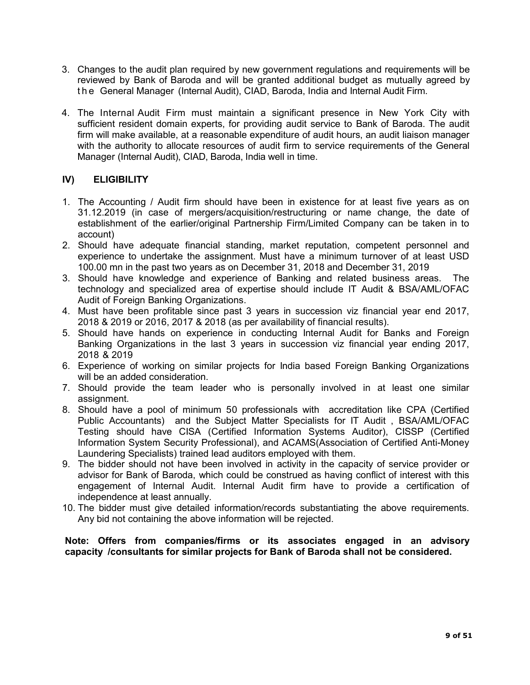- 3. Changes to the audit plan required by new government regulations and requirements will be reviewed by Bank of Baroda and will be granted additional budget as mutually agreed by t h e General Manager (Internal Audit), CIAD, Baroda, India and Internal Audit Firm.
- 4. The Internal Audit Firm must maintain a significant presence in New York City with sufficient resident domain experts, for providing audit service to Bank of Baroda. The audit firm will make available, at a reasonable expenditure of audit hours, an audit liaison manager with the authority to allocate resources of audit firm to service requirements of the General Manager (Internal Audit), CIAD, Baroda, India well in time.

## IV) ELIGIBILITY

- 1. The Accounting / Audit firm should have been in existence for at least five years as on 31.12.2019 (in case of mergers/acquisition/restructuring or name change, the date of establishment of the earlier/original Partnership Firm/Limited Company can be taken in to account)
- 2. Should have adequate financial standing, market reputation, competent personnel and experience to undertake the assignment. Must have a minimum turnover of at least USD 100.00 mn in the past two years as on December 31, 2018 and December 31, 2019
- 3. Should have knowledge and experience of Banking and related business areas. The technology and specialized area of expertise should include IT Audit & BSA/AML/OFAC Audit of Foreign Banking Organizations.
- 4. Must have been profitable since past 3 years in succession viz financial year end 2017, 2018 & 2019 or 2016, 2017 & 2018 (as per availability of financial results).
- 5. Should have hands on experience in conducting Internal Audit for Banks and Foreign Banking Organizations in the last 3 years in succession viz financial year ending 2017, 2018 & 2019
- 6. Experience of working on similar projects for India based Foreign Banking Organizations will be an added consideration.
- 7. Should provide the team leader who is personally involved in at least one similar assignment.
- 8. Should have a pool of minimum 50 professionals with accreditation like CPA (Certified Public Accountants) and the Subject Matter Specialists for IT Audit , BSA/AML/OFAC Testing should have CISA (Certified Information Systems Auditor), CISSP (Certified Information System Security Professional), and ACAMS(Association of Certified Anti-Money Laundering Specialists) trained lead auditors employed with them.
- 9. The bidder should not have been involved in activity in the capacity of service provider or advisor for Bank of Baroda, which could be construed as having conflict of interest with this engagement of Internal Audit. Internal Audit firm have to provide a certification of independence at least annually.
- 10. The bidder must give detailed information/records substantiating the above requirements. Any bid not containing the above information will be rejected.

Note: Offers from companies/firms or its associates engaged in an advisory capacity /consultants for similar projects for Bank of Baroda shall not be considered.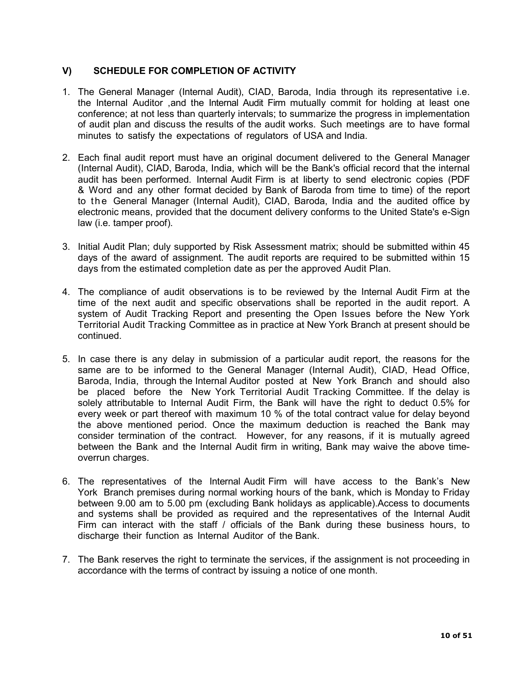## V) SCHEDULE FOR COMPLETION OF ACTIVITY

- 1. The General Manager (Internal Audit), CIAD, Baroda, India through its representative i.e. the Internal Auditor ,and the Internal Audit Firm mutually commit for holding at least one conference; at not less than quarterly intervals; to summarize the progress in implementation of audit plan and discuss the results of the audit works. Such meetings are to have formal minutes to satisfy the expectations of regulators of USA and India.
- 2. Each final audit report must have an original document delivered to the General Manager (Internal Audit), CIAD, Baroda, India, which will be the Bank's official record that the internal audit has been performed. Internal Audit Firm is at liberty to send electronic copies (PDF & Word and any other format decided by Bank of Baroda from time to time) of the report to the General Manager (Internal Audit), CIAD, Baroda, India and the audited office by electronic means, provided that the document delivery conforms to the United State's e-Sign law (i.e. tamper proof).
- 3. Initial Audit Plan; duly supported by Risk Assessment matrix; should be submitted within 45 days of the award of assignment. The audit reports are required to be submitted within 15 days from the estimated completion date as per the approved Audit Plan.
- 4. The compliance of audit observations is to be reviewed by the Internal Audit Firm at the time of the next audit and specific observations shall be reported in the audit report. A system of Audit Tracking Report and presenting the Open Issues before the New York Territorial Audit Tracking Committee as in practice at New York Branch at present should be continued.
- 5. In case there is any delay in submission of a particular audit report, the reasons for the same are to be informed to the General Manager (Internal Audit), CIAD, Head Office, Baroda, India, through the Internal Auditor posted at New York Branch and should also be placed before the New York Territorial Audit Tracking Committee. If the delay is solely attributable to Internal Audit Firm, the Bank will have the right to deduct 0.5% for every week or part thereof with maximum 10 % of the total contract value for delay beyond the above mentioned period. Once the maximum deduction is reached the Bank may consider termination of the contract. However, for any reasons, if it is mutually agreed between the Bank and the Internal Audit firm in writing, Bank may waive the above timeoverrun charges.
- 6. The representatives of the Internal Audit Firm will have access to the Bank's New York Branch premises during normal working hours of the bank, which is Monday to Friday between 9.00 am to 5.00 pm (excluding Bank holidays as applicable).Access to documents and systems shall be provided as required and the representatives of the Internal Audit Firm can interact with the staff / officials of the Bank during these business hours, to discharge their function as Internal Auditor of the Bank.
- 7. The Bank reserves the right to terminate the services, if the assignment is not proceeding in accordance with the terms of contract by issuing a notice of one month.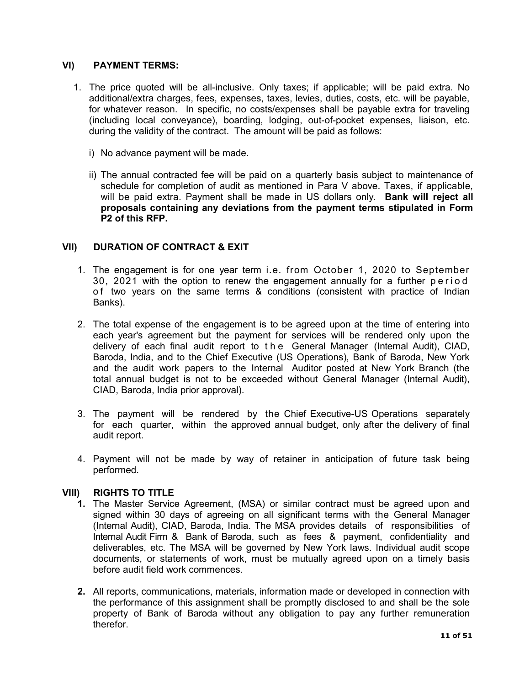### VI) PAYMENT TERMS:

- 1. The price quoted will be all-inclusive. Only taxes; if applicable; will be paid extra. No additional/extra charges, fees, expenses, taxes, levies, duties, costs, etc. will be payable, for whatever reason. In specific, no costs/expenses shall be payable extra for traveling (including local conveyance), boarding, lodging, out-of-pocket expenses, liaison, etc. during the validity of the contract. The amount will be paid as follows:
	- i) No advance payment will be made.
	- ii) The annual contracted fee will be paid on a quarterly basis subject to maintenance of schedule for completion of audit as mentioned in Para V above. Taxes, if applicable, will be paid extra. Payment shall be made in US dollars only. Bank will reject all proposals containing any deviations from the payment terms stipulated in Form P2 of this RFP.

### VII) DURATION OF CONTRACT & EXIT

- 1. The engagement is for one year term i.e. from October 1, 2020 to September 30, 2021 with the option to renew the engagement annually for a further period of two years on the same terms & conditions (consistent with practice of Indian Banks).
- 2. The total expense of the engagement is to be agreed upon at the time of entering into each year's agreement but the payment for services will be rendered only upon the delivery of each final audit report to t h e General Manager (Internal Audit), CIAD, Baroda, India, and to the Chief Executive (US Operations), Bank of Baroda, New York and the audit work papers to the Internal Auditor posted at New York Branch (the total annual budget is not to be exceeded without General Manager (Internal Audit), CIAD, Baroda, India prior approval).
- 3. The payment will be rendered by the Chief Executive-US Operations separately for each quarter, within the approved annual budget, only after the delivery of final audit report.
- 4. Payment will not be made by way of retainer in anticipation of future task being performed.

#### VIII) RIGHTS TO TITLE

- 1. The Master Service Agreement, (MSA) or similar contract must be agreed upon and signed within 30 days of agreeing on all significant terms with the General Manager (Internal Audit), CIAD, Baroda, India. The MSA provides details of responsibilities of Internal Audit Firm & Bank of Baroda, such as fees & payment, confidentiality and deliverables, etc. The MSA will be governed by New York laws. Individual audit scope documents, or statements of work, must be mutually agreed upon on a timely basis before audit field work commences.
- 2. All reports, communications, materials, information made or developed in connection with the performance of this assignment shall be promptly disclosed to and shall be the sole property of Bank of Baroda without any obligation to pay any further remuneration therefor.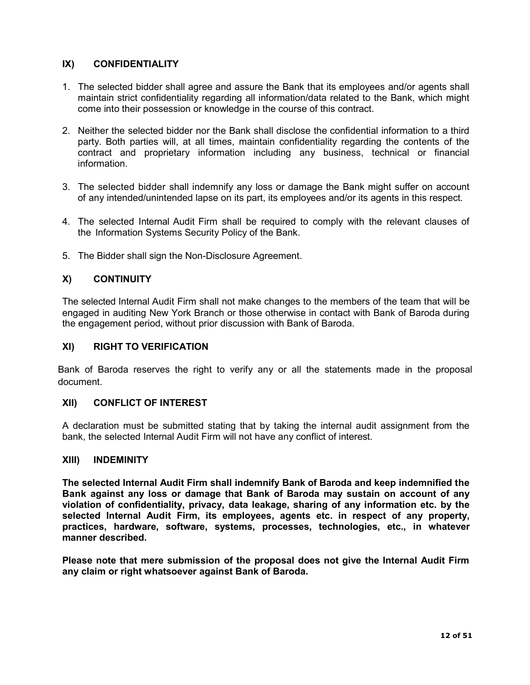## IX) CONFIDENTIALITY

- 1. The selected bidder shall agree and assure the Bank that its employees and/or agents shall maintain strict confidentiality regarding all information/data related to the Bank, which might come into their possession or knowledge in the course of this contract.
- 2. Neither the selected bidder nor the Bank shall disclose the confidential information to a third party. Both parties will, at all times, maintain confidentiality regarding the contents of the contract and proprietary information including any business, technical or financial information.
- 3. The selected bidder shall indemnify any loss or damage the Bank might suffer on account of any intended/unintended lapse on its part, its employees and/or its agents in this respect.
- 4. The selected Internal Audit Firm shall be required to comply with the relevant clauses of the Information Systems Security Policy of the Bank.
- 5. The Bidder shall sign the Non-Disclosure Agreement.

## X) CONTINUITY

The selected Internal Audit Firm shall not make changes to the members of the team that will be engaged in auditing New York Branch or those otherwise in contact with Bank of Baroda during the engagement period, without prior discussion with Bank of Baroda.

#### XI) RIGHT TO VERIFICATION

Bank of Baroda reserves the right to verify any or all the statements made in the proposal document.

#### XII) CONFLICT OF INTEREST

A declaration must be submitted stating that by taking the internal audit assignment from the bank, the selected Internal Audit Firm will not have any conflict of interest.

#### XIII) INDEMINITY

The selected Internal Audit Firm shall indemnify Bank of Baroda and keep indemnified the Bank against any loss or damage that Bank of Baroda may sustain on account of any violation of confidentiality, privacy, data leakage, sharing of any information etc. by the selected Internal Audit Firm, its employees, agents etc. in respect of any property, practices, hardware, software, systems, processes, technologies, etc., in whatever manner described.

Please note that mere submission of the proposal does not give the Internal Audit Firm any claim or right whatsoever against Bank of Baroda.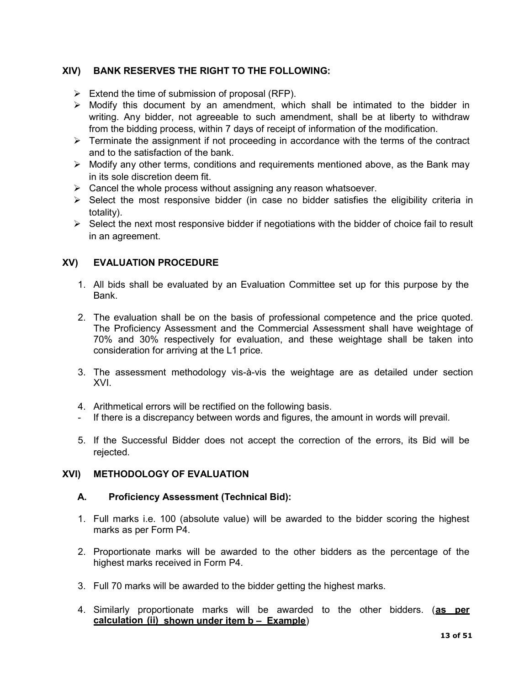## XIV) BANK RESERVES THE RIGHT TO THE FOLLOWING:

- $\triangleright$  Extend the time of submission of proposal (RFP).
- $\triangleright$  Modify this document by an amendment, which shall be intimated to the bidder in writing. Any bidder, not agreeable to such amendment, shall be at liberty to withdraw from the bidding process, within 7 days of receipt of information of the modification.
- $\triangleright$  Terminate the assignment if not proceeding in accordance with the terms of the contract and to the satisfaction of the bank.
- $\triangleright$  Modify any other terms, conditions and requirements mentioned above, as the Bank may in its sole discretion deem fit.
- $\triangleright$  Cancel the whole process without assigning any reason whatsoever.
- $\triangleright$  Select the most responsive bidder (in case no bidder satisfies the eligibility criteria in totality).
- $\triangleright$  Select the next most responsive bidder if negotiations with the bidder of choice fail to result in an agreement.

## XV) EVALUATION PROCEDURE

- 1. All bids shall be evaluated by an Evaluation Committee set up for this purpose by the Bank.
- 2. The evaluation shall be on the basis of professional competence and the price quoted. The Proficiency Assessment and the Commercial Assessment shall have weightage of 70% and 30% respectively for evaluation, and these weightage shall be taken into consideration for arriving at the L1 price.
- 3. The assessment methodology vis-à-vis the weightage are as detailed under section XVI.
- 4. Arithmetical errors will be rectified on the following basis.
- If there is a discrepancy between words and figures, the amount in words will prevail.
- 5. If the Successful Bidder does not accept the correction of the errors, its Bid will be rejected.

#### XVI) METHODOLOGY OF EVALUATION

#### A. Proficiency Assessment (Technical Bid):

- 1. Full marks i.e. 100 (absolute value) will be awarded to the bidder scoring the highest marks as per Form P4.
- 2. Proportionate marks will be awarded to the other bidders as the percentage of the highest marks received in Form P4.
- 3. Full 70 marks will be awarded to the bidder getting the highest marks.
- 4. Similarly proportionate marks will be awarded to the other bidders. (as per calculation (ii) shown under item b – Example)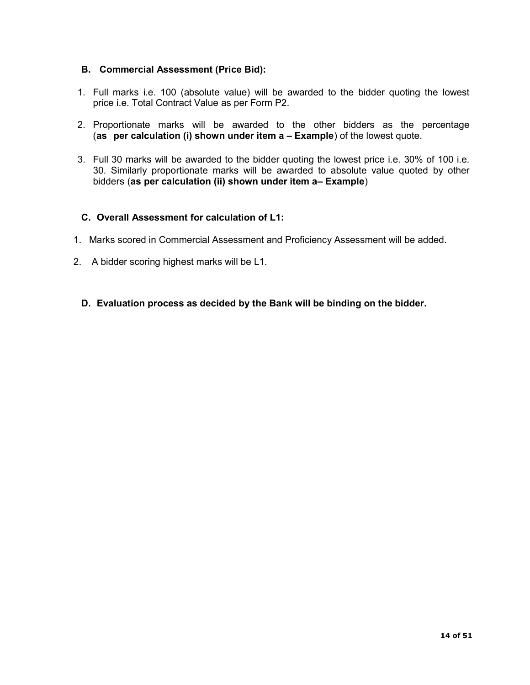## B. Commercial Assessment (Price Bid):

- 1. Full marks i.e. 100 (absolute value) will be awarded to the bidder quoting the lowest price i.e. Total Contract Value as per Form P2.
- 2. Proportionate marks will be awarded to the other bidders as the percentage (as per calculation (i) shown under item a – Example) of the lowest quote.
- 3. Full 30 marks will be awarded to the bidder quoting the lowest price i.e. 30% of 100 i.e. 30. Similarly proportionate marks will be awarded to absolute value quoted by other bidders (as per calculation (ii) shown under item a– Example)

### C. Overall Assessment for calculation of L1:

- 1. Marks scored in Commercial Assessment and Proficiency Assessment will be added.
- 2. A bidder scoring highest marks will be L1.
	- D. Evaluation process as decided by the Bank will be binding on the bidder.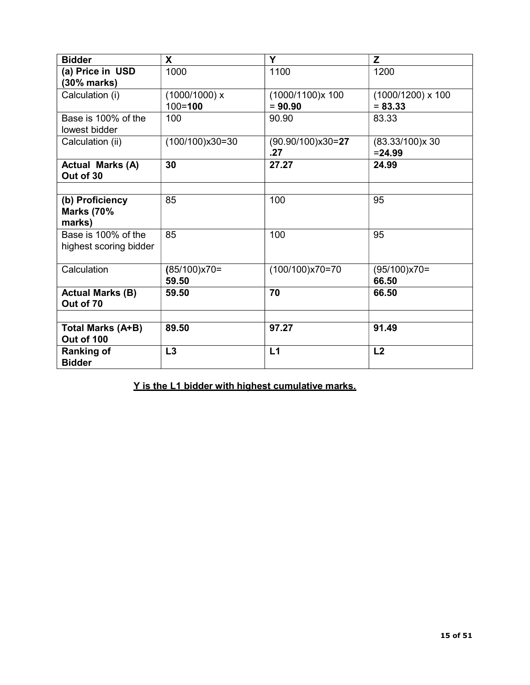| <b>Bidder</b>                        | X                 | Y                   | Z                   |
|--------------------------------------|-------------------|---------------------|---------------------|
| (a) Price in USD                     | 1000              | 1100                | 1200                |
| (30% marks)                          |                   |                     |                     |
| Calculation (i)                      | (1000/1000) x     | (1000/1100)x 100    | $(1000/1200)$ x 100 |
|                                      | $100 = 100$       | $= 90.90$           | $= 83.33$           |
| Base is 100% of the                  | 100               | 90.90               | 83.33               |
| lowest bidder                        |                   |                     |                     |
| Calculation (ii)                     | $(100/100)x30=30$ | $(90.90/100)x30=27$ | (83.33/100)x30      |
|                                      |                   | .27                 | $= 24.99$           |
| <b>Actual Marks (A)</b>              | 30                | 27.27               | 24.99               |
| Out of 30                            |                   |                     |                     |
|                                      |                   |                     |                     |
| (b) Proficiency                      | 85                | 100                 | 95                  |
| <b>Marks (70%</b>                    |                   |                     |                     |
| marks)                               |                   |                     |                     |
| Base is 100% of the                  | 85                | 100                 | 95                  |
| highest scoring bidder               |                   |                     |                     |
|                                      |                   |                     |                     |
| Calculation                          | $(85/100)x70=$    | $(100/100)x70=70$   | $(95/100)x70=$      |
|                                      | 59.50             |                     | 66.50               |
| <b>Actual Marks (B)</b><br>Out of 70 | 59.50             | 70                  | 66.50               |
|                                      |                   |                     |                     |
| <b>Total Marks (A+B)</b>             | 89.50             | 97.27               | 91.49               |
| Out of 100                           |                   |                     |                     |
| <b>Ranking of</b>                    | L3                | L1                  | L2                  |
| <b>Bidder</b>                        |                   |                     |                     |

Y is the L1 bidder with highest cumulative marks.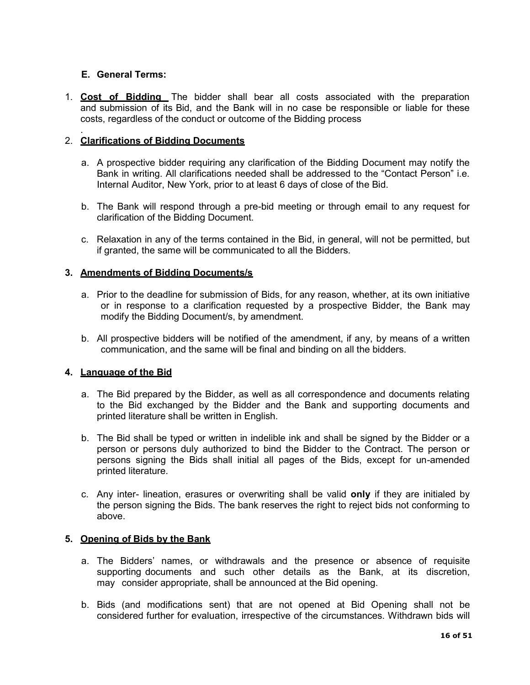## E. General Terms:

1. Cost of Bidding The bidder shall bear all costs associated with the preparation and submission of its Bid, and the Bank will in no case be responsible or liable for these costs, regardless of the conduct or outcome of the Bidding process

#### . 2. Clarifications of Bidding Documents

- a. A prospective bidder requiring any clarification of the Bidding Document may notify the Bank in writing. All clarifications needed shall be addressed to the "Contact Person" i.e. Internal Auditor, New York, prior to at least 6 days of close of the Bid.
- b. The Bank will respond through a pre-bid meeting or through email to any request for clarification of the Bidding Document.
- c. Relaxation in any of the terms contained in the Bid, in general, will not be permitted, but if granted, the same will be communicated to all the Bidders.

### 3. Amendments of Bidding Documents/s

- a. Prior to the deadline for submission of Bids, for any reason, whether, at its own initiative or in response to a clarification requested by a prospective Bidder, the Bank may modify the Bidding Document/s, by amendment.
- b. All prospective bidders will be notified of the amendment, if any, by means of a written communication, and the same will be final and binding on all the bidders.

#### 4. Language of the Bid

- a. The Bid prepared by the Bidder, as well as all correspondence and documents relating to the Bid exchanged by the Bidder and the Bank and supporting documents and printed literature shall be written in English.
- b. The Bid shall be typed or written in indelible ink and shall be signed by the Bidder or a person or persons duly authorized to bind the Bidder to the Contract. The person or persons signing the Bids shall initial all pages of the Bids, except for un-amended printed literature.
- c. Any inter- lineation, erasures or overwriting shall be valid only if they are initialed by the person signing the Bids. The bank reserves the right to reject bids not conforming to above.

#### 5. Opening of Bids by the Bank

- a. The Bidders' names, or withdrawals and the presence or absence of requisite supporting documents and such other details as the Bank, at its discretion, may consider appropriate, shall be announced at the Bid opening.
- b. Bids (and modifications sent) that are not opened at Bid Opening shall not be considered further for evaluation, irrespective of the circumstances. Withdrawn bids will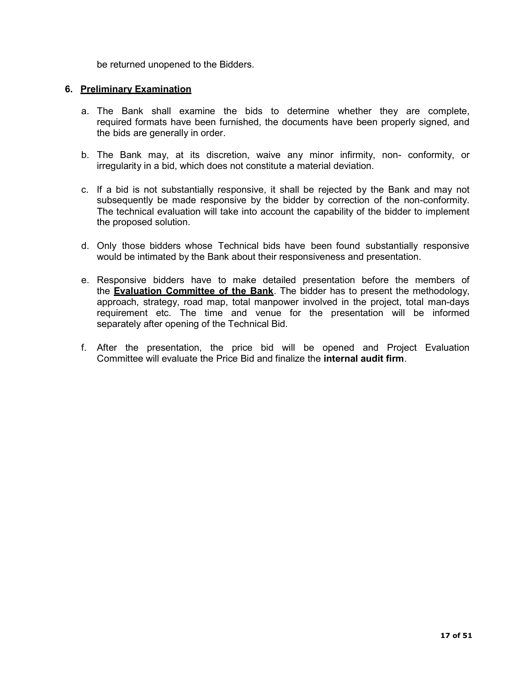be returned unopened to the Bidders.

#### 6. Preliminary Examination

- a. The Bank shall examine the bids to determine whether they are complete, required formats have been furnished, the documents have been properly signed, and the bids are generally in order.
- b. The Bank may, at its discretion, waive any minor infirmity, non- conformity, or irregularity in a bid, which does not constitute a material deviation.
- c. If a bid is not substantially responsive, it shall be rejected by the Bank and may not subsequently be made responsive by the bidder by correction of the non-conformity. The technical evaluation will take into account the capability of the bidder to implement the proposed solution.
- d. Only those bidders whose Technical bids have been found substantially responsive would be intimated by the Bank about their responsiveness and presentation.
- e. Responsive bidders have to make detailed presentation before the members of the **Evaluation Committee of the Bank**. The bidder has to present the methodology, approach, strategy, road map, total manpower involved in the project, total man-days requirement etc. The time and venue for the presentation will be informed separately after opening of the Technical Bid.
- f. After the presentation, the price bid will be opened and Project Evaluation Committee will evaluate the Price Bid and finalize the internal audit firm.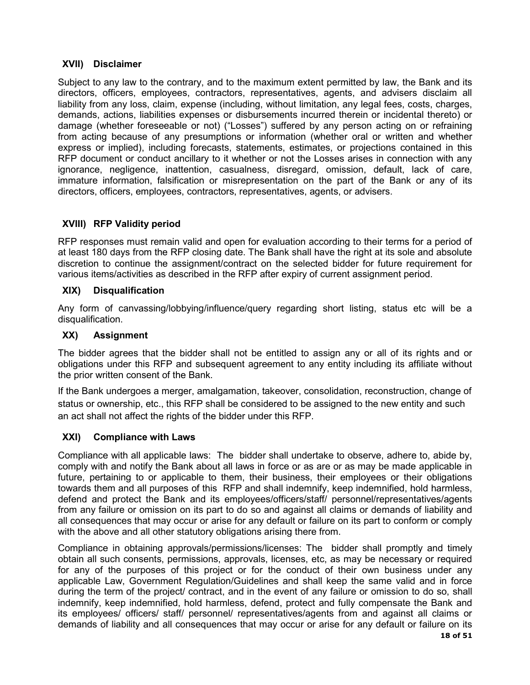## XVII) Disclaimer

Subject to any law to the contrary, and to the maximum extent permitted by law, the Bank and its directors, officers, employees, contractors, representatives, agents, and advisers disclaim all liability from any loss, claim, expense (including, without limitation, any legal fees, costs, charges, demands, actions, liabilities expenses or disbursements incurred therein or incidental thereto) or damage (whether foreseeable or not) ("Losses") suffered by any person acting on or refraining from acting because of any presumptions or information (whether oral or written and whether express or implied), including forecasts, statements, estimates, or projections contained in this RFP document or conduct ancillary to it whether or not the Losses arises in connection with any ignorance, negligence, inattention, casualness, disregard, omission, default, lack of care, immature information, falsification or misrepresentation on the part of the Bank or any of its directors, officers, employees, contractors, representatives, agents, or advisers.

# XVIII) RFP Validity period

RFP responses must remain valid and open for evaluation according to their terms for a period of at least 180 days from the RFP closing date. The Bank shall have the right at its sole and absolute discretion to continue the assignment/contract on the selected bidder for future requirement for various items/activities as described in the RFP after expiry of current assignment period.

## XIX) Disqualification

Any form of canvassing/lobbying/influence/query regarding short listing, status etc will be a disqualification.

## XX) Assignment

The bidder agrees that the bidder shall not be entitled to assign any or all of its rights and or obligations under this RFP and subsequent agreement to any entity including its affiliate without the prior written consent of the Bank.

If the Bank undergoes a merger, amalgamation, takeover, consolidation, reconstruction, change of status or ownership, etc., this RFP shall be considered to be assigned to the new entity and such an act shall not affect the rights of the bidder under this RFP.

## XXI) Compliance with Laws

Compliance with all applicable laws: The bidder shall undertake to observe, adhere to, abide by, comply with and notify the Bank about all laws in force or as are or as may be made applicable in future, pertaining to or applicable to them, their business, their employees or their obligations towards them and all purposes of this RFP and shall indemnify, keep indemnified, hold harmless, defend and protect the Bank and its employees/officers/staff/ personnel/representatives/agents from any failure or omission on its part to do so and against all claims or demands of liability and all consequences that may occur or arise for any default or failure on its part to conform or comply with the above and all other statutory obligations arising there from.

Compliance in obtaining approvals/permissions/licenses: The bidder shall promptly and timely obtain all such consents, permissions, approvals, licenses, etc, as may be necessary or required for any of the purposes of this project or for the conduct of their own business under any applicable Law, Government Regulation/Guidelines and shall keep the same valid and in force during the term of the project/ contract, and in the event of any failure or omission to do so, shall indemnify, keep indemnified, hold harmless, defend, protect and fully compensate the Bank and its employees/ officers/ staff/ personnel/ representatives/agents from and against all claims or demands of liability and all consequences that may occur or arise for any default or failure on its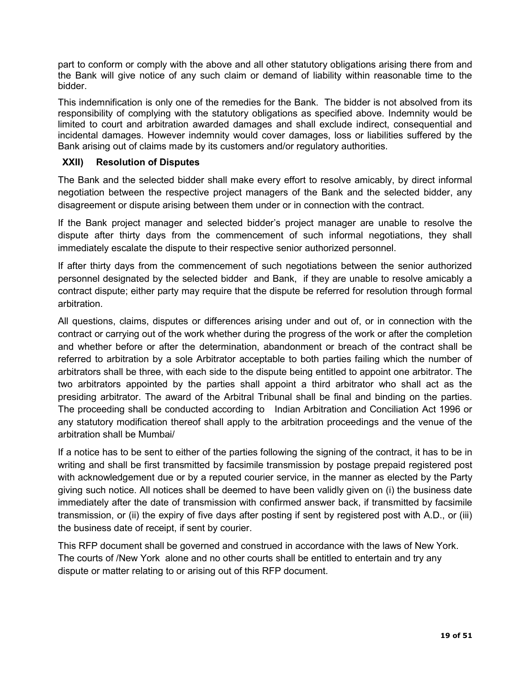part to conform or comply with the above and all other statutory obligations arising there from and the Bank will give notice of any such claim or demand of liability within reasonable time to the bidder.

This indemnification is only one of the remedies for the Bank. The bidder is not absolved from its responsibility of complying with the statutory obligations as specified above. Indemnity would be limited to court and arbitration awarded damages and shall exclude indirect, consequential and incidental damages. However indemnity would cover damages, loss or liabilities suffered by the Bank arising out of claims made by its customers and/or regulatory authorities.

## XXII) Resolution of Disputes

The Bank and the selected bidder shall make every effort to resolve amicably, by direct informal negotiation between the respective project managers of the Bank and the selected bidder, any disagreement or dispute arising between them under or in connection with the contract.

If the Bank project manager and selected bidder's project manager are unable to resolve the dispute after thirty days from the commencement of such informal negotiations, they shall immediately escalate the dispute to their respective senior authorized personnel.

If after thirty days from the commencement of such negotiations between the senior authorized personnel designated by the selected bidder and Bank, if they are unable to resolve amicably a contract dispute; either party may require that the dispute be referred for resolution through formal arbitration.

All questions, claims, disputes or differences arising under and out of, or in connection with the contract or carrying out of the work whether during the progress of the work or after the completion and whether before or after the determination, abandonment or breach of the contract shall be referred to arbitration by a sole Arbitrator acceptable to both parties failing which the number of arbitrators shall be three, with each side to the dispute being entitled to appoint one arbitrator. The two arbitrators appointed by the parties shall appoint a third arbitrator who shall act as the presiding arbitrator. The award of the Arbitral Tribunal shall be final and binding on the parties. The proceeding shall be conducted according to Indian Arbitration and Conciliation Act 1996 or any statutory modification thereof shall apply to the arbitration proceedings and the venue of the arbitration shall be Mumbai/

If a notice has to be sent to either of the parties following the signing of the contract, it has to be in writing and shall be first transmitted by facsimile transmission by postage prepaid registered post with acknowledgement due or by a reputed courier service, in the manner as elected by the Party giving such notice. All notices shall be deemed to have been validly given on (i) the business date immediately after the date of transmission with confirmed answer back, if transmitted by facsimile transmission, or (ii) the expiry of five days after posting if sent by registered post with A.D., or (iii) the business date of receipt, if sent by courier.

This RFP document shall be governed and construed in accordance with the laws of New York. The courts of /New York alone and no other courts shall be entitled to entertain and try any dispute or matter relating to or arising out of this RFP document.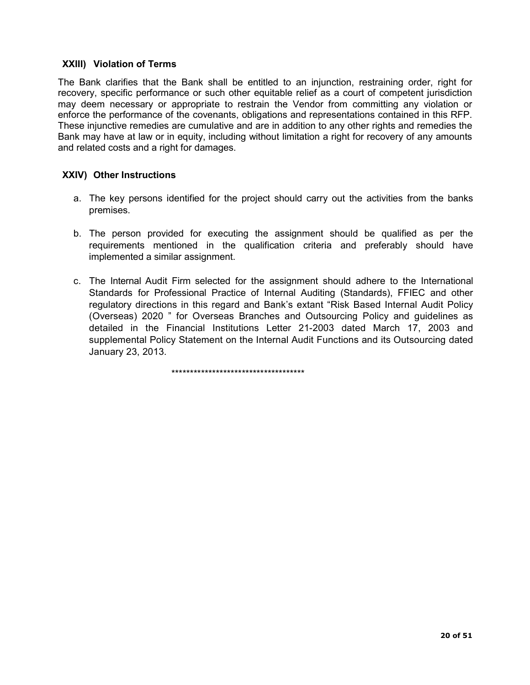## XXIII) Violation of Terms

The Bank clarifies that the Bank shall be entitled to an injunction, restraining order, right for recovery, specific performance or such other equitable relief as a court of competent jurisdiction may deem necessary or appropriate to restrain the Vendor from committing any violation or enforce the performance of the covenants, obligations and representations contained in this RFP. These injunctive remedies are cumulative and are in addition to any other rights and remedies the Bank may have at law or in equity, including without limitation a right for recovery of any amounts and related costs and a right for damages.

### XXIV) Other Instructions

- a. The key persons identified for the project should carry out the activities from the banks premises.
- b. The person provided for executing the assignment should be qualified as per the requirements mentioned in the qualification criteria and preferably should have implemented a similar assignment.
- c. The Internal Audit Firm selected for the assignment should adhere to the International Standards for Professional Practice of Internal Auditing (Standards), FFIEC and other regulatory directions in this regard and Bank's extant "Risk Based Internal Audit Policy (Overseas) 2020 " for Overseas Branches and Outsourcing Policy and guidelines as detailed in the Financial Institutions Letter 21-2003 dated March 17, 2003 and supplemental Policy Statement on the Internal Audit Functions and its Outsourcing dated January 23, 2013.

\*\*\*\*\*\*\*\*\*\*\*\*\*\*\*\*\*\*\*\*\*\*\*\*\*\*\*\*\*\*\*\*\*\*\*\*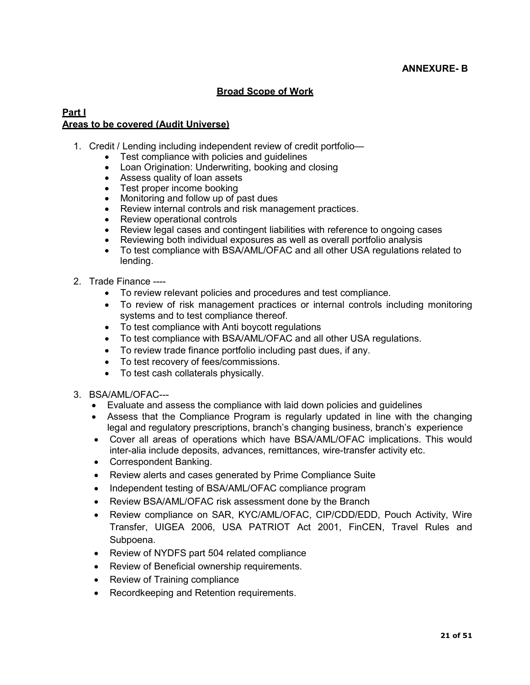## Broad Scope of Work

## Part I Areas to be covered (Audit Universe)

- 1. Credit / Lending including independent review of credit portfolio—
	- Test compliance with policies and quidelines
	- Loan Origination: Underwriting, booking and closing
	- Assess quality of loan assets
	- Test proper income booking
	- Monitoring and follow up of past dues
	- Review internal controls and risk management practices.
	- Review operational controls
	- Review legal cases and contingent liabilities with reference to ongoing cases
	- Reviewing both individual exposures as well as overall portfolio analysis
	- To test compliance with BSA/AML/OFAC and all other USA regulations related to lending.
- 2. Trade Finance ----
	- To review relevant policies and procedures and test compliance.
	- To review of risk management practices or internal controls including monitoring systems and to test compliance thereof.
	- To test compliance with Anti boycott regulations
	- To test compliance with BSA/AML/OFAC and all other USA regulations.
	- To review trade finance portfolio including past dues, if any.
	- To test recovery of fees/commissions.
	- To test cash collaterals physically.
- 3. BSA/AML/OFAC---
	- Evaluate and assess the compliance with laid down policies and guidelines
	- Assess that the Compliance Program is regularly updated in line with the changing legal and regulatory prescriptions, branch's changing business, branch's experience
	- Cover all areas of operations which have BSA/AML/OFAC implications. This would inter-alia include deposits, advances, remittances, wire-transfer activity etc.
	- Correspondent Banking.
	- Review alerts and cases generated by Prime Compliance Suite
	- Independent testing of BSA/AML/OFAC compliance program
	- Review BSA/AML/OFAC risk assessment done by the Branch
	- Review compliance on SAR, KYC/AML/OFAC, CIP/CDD/EDD, Pouch Activity, Wire Transfer, UIGEA 2006, USA PATRIOT Act 2001, FinCEN, Travel Rules and Subpoena.
	- Review of NYDFS part 504 related compliance
	- Review of Beneficial ownership requirements.
	- Review of Training compliance
	- Recordkeeping and Retention requirements.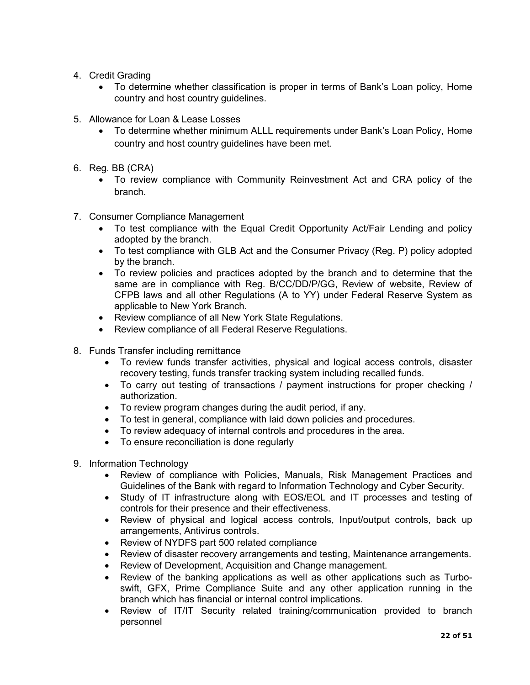- 4. Credit Grading
	- To determine whether classification is proper in terms of Bank's Loan policy, Home country and host country guidelines.
- 5. Allowance for Loan & Lease Losses
	- To determine whether minimum ALLL requirements under Bank's Loan Policy, Home country and host country guidelines have been met.
- 6. Reg. BB (CRA)
	- To review compliance with Community Reinvestment Act and CRA policy of the branch.
- 7. Consumer Compliance Management
	- To test compliance with the Equal Credit Opportunity Act/Fair Lending and policy adopted by the branch.
	- To test compliance with GLB Act and the Consumer Privacy (Reg. P) policy adopted by the branch.
	- To review policies and practices adopted by the branch and to determine that the same are in compliance with Reg. B/CC/DD/P/GG, Review of website, Review of CFPB laws and all other Regulations (A to YY) under Federal Reserve System as applicable to New York Branch.
	- Review compliance of all New York State Regulations.
	- Review compliance of all Federal Reserve Regulations.
- 8. Funds Transfer including remittance
	- To review funds transfer activities, physical and logical access controls, disaster recovery testing, funds transfer tracking system including recalled funds.
	- To carry out testing of transactions / payment instructions for proper checking / authorization.
	- To review program changes during the audit period, if any.
	- To test in general, compliance with laid down policies and procedures.
	- To review adequacy of internal controls and procedures in the area.
	- To ensure reconciliation is done regularly
- 9. Information Technology
	- Review of compliance with Policies, Manuals, Risk Management Practices and Guidelines of the Bank with regard to Information Technology and Cyber Security.
	- Study of IT infrastructure along with EOS/EOL and IT processes and testing of controls for their presence and their effectiveness.
	- Review of physical and logical access controls, Input/output controls, back up arrangements, Antivirus controls.
	- Review of NYDFS part 500 related compliance
	- Review of disaster recovery arrangements and testing, Maintenance arrangements.
	- Review of Development, Acquisition and Change management.
	- Review of the banking applications as well as other applications such as Turboswift, GFX, Prime Compliance Suite and any other application running in the branch which has financial or internal control implications.
	- Review of IT/IT Security related training/communication provided to branch personnel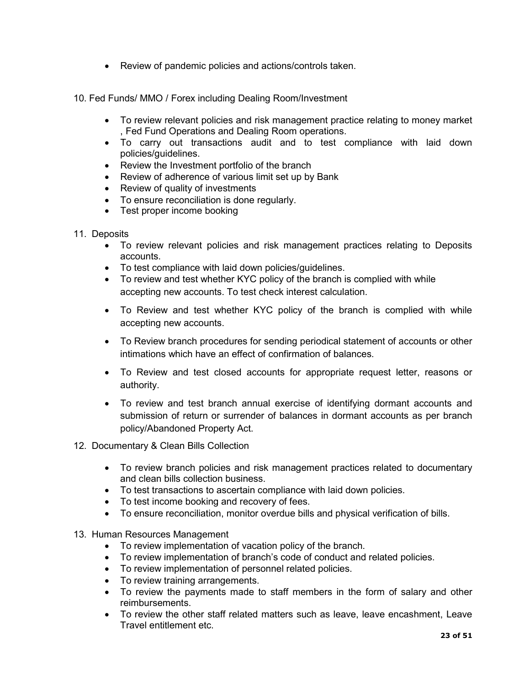- Review of pandemic policies and actions/controls taken.
- 10. Fed Funds/ MMO / Forex including Dealing Room/Investment
	- To review relevant policies and risk management practice relating to money market , Fed Fund Operations and Dealing Room operations.
	- To carry out transactions audit and to test compliance with laid down policies/guidelines.
	- Review the Investment portfolio of the branch
	- Review of adherence of various limit set up by Bank
	- Review of quality of investments
	- To ensure reconciliation is done regularly.
	- Test proper income booking
- 11. Deposits
	- To review relevant policies and risk management practices relating to Deposits accounts.
	- To test compliance with laid down policies/guidelines.
	- To review and test whether KYC policy of the branch is complied with while accepting new accounts. To test check interest calculation.
	- To Review and test whether KYC policy of the branch is complied with while accepting new accounts.
	- To Review branch procedures for sending periodical statement of accounts or other intimations which have an effect of confirmation of balances.
	- To Review and test closed accounts for appropriate request letter, reasons or authority.
	- To review and test branch annual exercise of identifying dormant accounts and submission of return or surrender of balances in dormant accounts as per branch policy/Abandoned Property Act.
- 12. Documentary & Clean Bills Collection
	- To review branch policies and risk management practices related to documentary and clean bills collection business.
	- To test transactions to ascertain compliance with laid down policies.
	- To test income booking and recovery of fees.
	- To ensure reconciliation, monitor overdue bills and physical verification of bills.
- 13. Human Resources Management
	- To review implementation of vacation policy of the branch.
	- To review implementation of branch's code of conduct and related policies.
	- To review implementation of personnel related policies.
	- To review training arrangements.
	- To review the payments made to staff members in the form of salary and other reimbursements.
	- To review the other staff related matters such as leave, leave encashment, Leave Travel entitlement etc.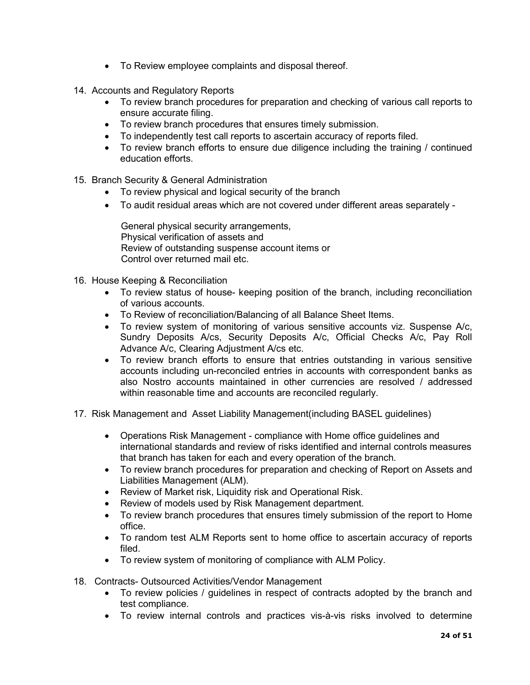- To Review employee complaints and disposal thereof.
- 14. Accounts and Regulatory Reports
	- To review branch procedures for preparation and checking of various call reports to ensure accurate filing.
	- To review branch procedures that ensures timely submission.
	- To independently test call reports to ascertain accuracy of reports filed.
	- To review branch efforts to ensure due diligence including the training / continued education efforts.
- 15. Branch Security & General Administration
	- To review physical and logical security of the branch
	- To audit residual areas which are not covered under different areas separately -

 General physical security arrangements, Physical verification of assets and Review of outstanding suspense account items or Control over returned mail etc.

- 16. House Keeping & Reconciliation
	- To review status of house- keeping position of the branch, including reconciliation of various accounts.
	- To Review of reconciliation/Balancing of all Balance Sheet Items.
	- To review system of monitoring of various sensitive accounts viz. Suspense A/c, Sundry Deposits A/cs, Security Deposits A/c, Official Checks A/c, Pay Roll Advance A/c, Clearing Adjustment A/cs etc.
	- To review branch efforts to ensure that entries outstanding in various sensitive accounts including un-reconciled entries in accounts with correspondent banks as also Nostro accounts maintained in other currencies are resolved / addressed within reasonable time and accounts are reconciled regularly.
- 17. Risk Management and Asset Liability Management(including BASEL guidelines)
	- Operations Risk Management compliance with Home office guidelines and international standards and review of risks identified and internal controls measures that branch has taken for each and every operation of the branch.
	- To review branch procedures for preparation and checking of Report on Assets and Liabilities Management (ALM).
	- Review of Market risk, Liquidity risk and Operational Risk.
	- Review of models used by Risk Management department.
	- To review branch procedures that ensures timely submission of the report to Home office.
	- To random test ALM Reports sent to home office to ascertain accuracy of reports filed.
	- To review system of monitoring of compliance with ALM Policy.
- 18. Contracts- Outsourced Activities/Vendor Management
	- To review policies / guidelines in respect of contracts adopted by the branch and test compliance.
	- To review internal controls and practices vis-à-vis risks involved to determine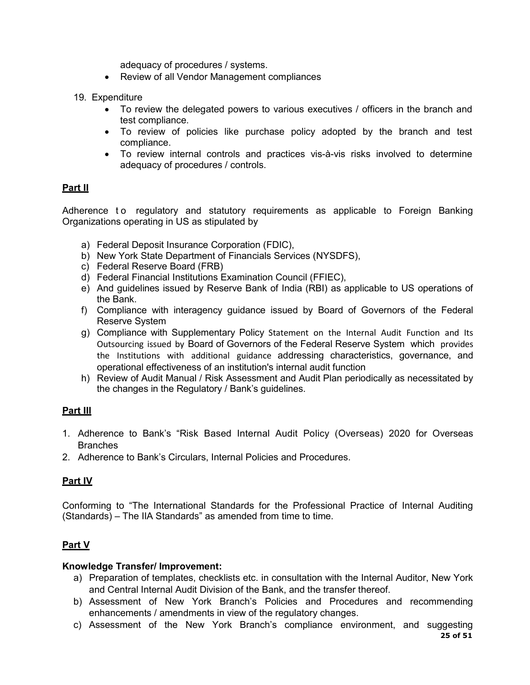adequacy of procedures / systems.

- Review of all Vendor Management compliances
- 19. Expenditure
	- To review the delegated powers to various executives / officers in the branch and test compliance.
	- To review of policies like purchase policy adopted by the branch and test compliance.
	- To review internal controls and practices vis-à-vis risks involved to determine adequacy of procedures / controls.

# Part II

Adherence to regulatory and statutory requirements as applicable to Foreign Banking Organizations operating in US as stipulated by

- a) Federal Deposit Insurance Corporation (FDIC),
- b) New York State Department of Financials Services (NYSDFS),
- c) Federal Reserve Board (FRB)
- d) Federal Financial Institutions Examination Council (FFIEC),
- e) And guidelines issued by Reserve Bank of India (RBI) as applicable to US operations of the Bank.
- f) Compliance with interagency guidance issued by Board of Governors of the Federal Reserve System
- g) Compliance with Supplementary Policy Statement on the Internal Audit Function and Its Outsourcing issued by Board of Governors of the Federal Reserve System which provides the Institutions with additional guidance addressing characteristics, governance, and operational effectiveness of an institution's internal audit function
- h) Review of Audit Manual / Risk Assessment and Audit Plan periodically as necessitated by the changes in the Regulatory / Bank's guidelines.

## Part III

- 1. Adherence to Bank's "Risk Based Internal Audit Policy (Overseas) 2020 for Overseas Branches
- 2. Adherence to Bank's Circulars, Internal Policies and Procedures.

# Part IV

Conforming to "The International Standards for the Professional Practice of Internal Auditing (Standards) – The IIA Standards" as amended from time to time.

# Part V

## Knowledge Transfer/ Improvement:

- a) Preparation of templates, checklists etc. in consultation with the Internal Auditor, New York and Central Internal Audit Division of the Bank, and the transfer thereof.
- b) Assessment of New York Branch's Policies and Procedures and recommending enhancements / amendments in view of the regulatory changes.
- 25 of 51 c) Assessment of the New York Branch's compliance environment, and suggesting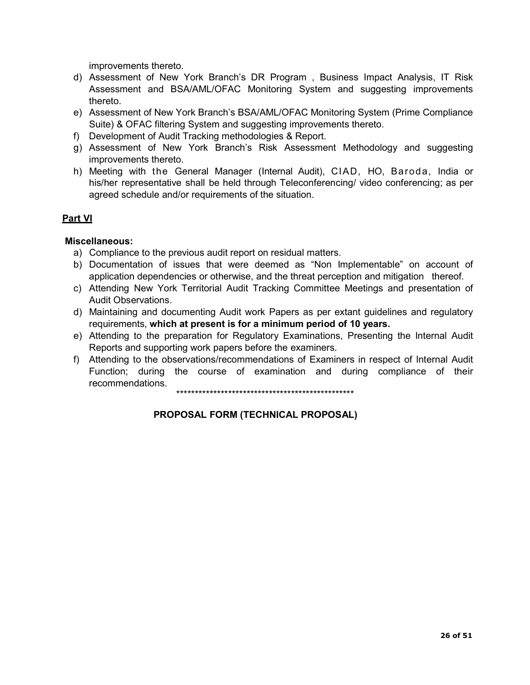improvements thereto.

- d) Assessment of New York Branch's DR Program , Business Impact Analysis, IT Risk Assessment and BSA/AML/OFAC Monitoring System and suggesting improvements thereto.
- e) Assessment of New York Branch's BSA/AML/OFAC Monitoring System (Prime Compliance Suite) & OFAC filtering System and suggesting improvements thereto.
- f) Development of Audit Tracking methodologies & Report.
- g) Assessment of New York Branch's Risk Assessment Methodology and suggesting improvements thereto.
- h) Meeting with the General Manager (Internal Audit), CIAD, HO, Baroda, India or his/her representative shall be held through Teleconferencing/ video conferencing; as per agreed schedule and/or requirements of the situation.

## Part VI

### Miscellaneous:

- a) Compliance to the previous audit report on residual matters.
- b) Documentation of issues that were deemed as "Non Implementable" on account of application dependencies or otherwise, and the threat perception and mitigation thereof.
- c) Attending New York Territorial Audit Tracking Committee Meetings and presentation of Audit Observations.
- d) Maintaining and documenting Audit work Papers as per extant guidelines and regulatory requirements, which at present is for a minimum period of 10 years.
- e) Attending to the preparation for Regulatory Examinations, Presenting the Internal Audit Reports and supporting work papers before the examiners.
- f) Attending to the observations/recommendations of Examiners in respect of Internal Audit Function; during the course of examination and during compliance of their recommendations.

\*\*\*\*\*\*\*\*\*\*\*\*\*\*\*\*\*\*\*\*\*\*\*\*\*\*\*\*\*\*\*\*\*\*\*\*\*\*\*\*\*\*\*\*\*\*\*\*

## PROPOSAL FORM (TECHNICAL PROPOSAL)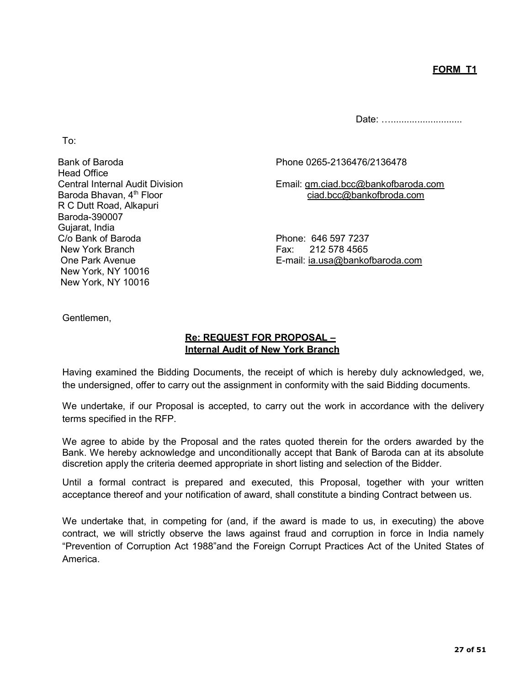Date: ..............................

To:

Head Office R C Dutt Road, Alkapuri Baroda-390007 Gujarat, India C/o Bank of Baroda **Phone: 646 597 7237** New York Branch Fax: 212 578 4565 New York, NY 10016 New York, NY 10016

Bank of Baroda Phone 0265-2136476/2136478

Central Internal Audit Division Email: gm.ciad.bcc@bankofbaroda.com Baroda Bhavan, 4<sup>th</sup> Floor ciad.bcc@bankofbroda.com

One Park Avenue E-mail: ia.usa@bankofbaroda.com

Gentlemen,

# Re: REQUEST FOR PROPOSAL – Internal Audit of New York Branch

Having examined the Bidding Documents, the receipt of which is hereby duly acknowledged, we, the undersigned, offer to carry out the assignment in conformity with the said Bidding documents.

We undertake, if our Proposal is accepted, to carry out the work in accordance with the delivery terms specified in the RFP.

We agree to abide by the Proposal and the rates quoted therein for the orders awarded by the Bank. We hereby acknowledge and unconditionally accept that Bank of Baroda can at its absolute discretion apply the criteria deemed appropriate in short listing and selection of the Bidder.

Until a formal contract is prepared and executed, this Proposal, together with your written acceptance thereof and your notification of award, shall constitute a binding Contract between us.

We undertake that, in competing for (and, if the award is made to us, in executing) the above contract, we will strictly observe the laws against fraud and corruption in force in India namely "Prevention of Corruption Act 1988"and the Foreign Corrupt Practices Act of the United States of America.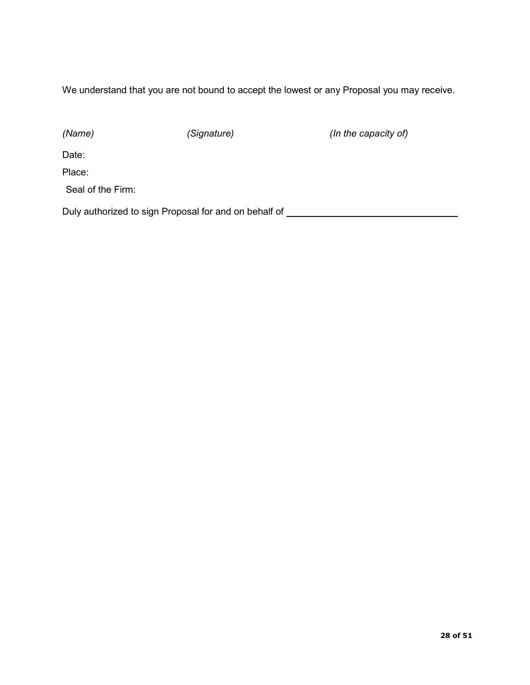We understand that you are not bound to accept the lowest or any Proposal you may receive.

(Name) (Signature) (Signature (In the capacity of)

Date:

Place:

Seal of the Firm:

Duly authorized to sign Proposal for and on behalf of **construct and the system of the system** of  $\sim$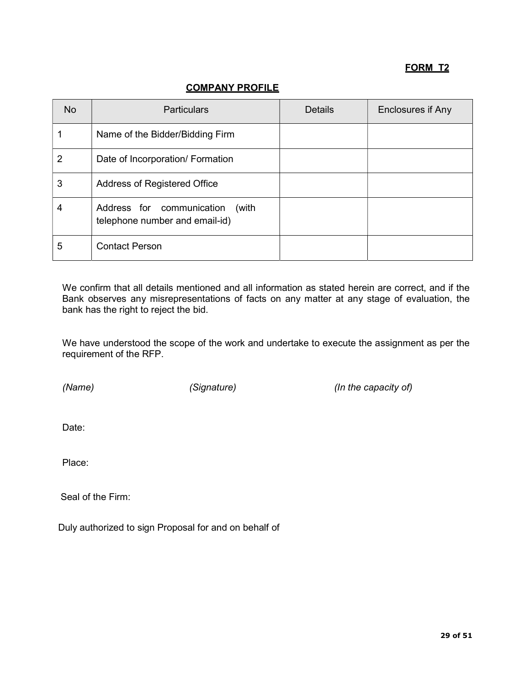# FORM T2

# COMPANY PROFILE

| N <sub>o</sub> | <b>Particulars</b>                                                   | <b>Details</b> | Enclosures if Any |
|----------------|----------------------------------------------------------------------|----------------|-------------------|
|                | Name of the Bidder/Bidding Firm                                      |                |                   |
| $\overline{2}$ | Date of Incorporation/ Formation                                     |                |                   |
| 3              | Address of Registered Office                                         |                |                   |
| 4              | Address for communication<br>(with<br>telephone number and email-id) |                |                   |
| 5              | <b>Contact Person</b>                                                |                |                   |

We confirm that all details mentioned and all information as stated herein are correct, and if the Bank observes any misrepresentations of facts on any matter at any stage of evaluation, the bank has the right to reject the bid.

We have understood the scope of the work and undertake to execute the assignment as per the requirement of the RFP.

(Name) (Signature) (Signature (In the capacity of)

Date:

Place:

Seal of the Firm:

Duly authorized to sign Proposal for and on behalf of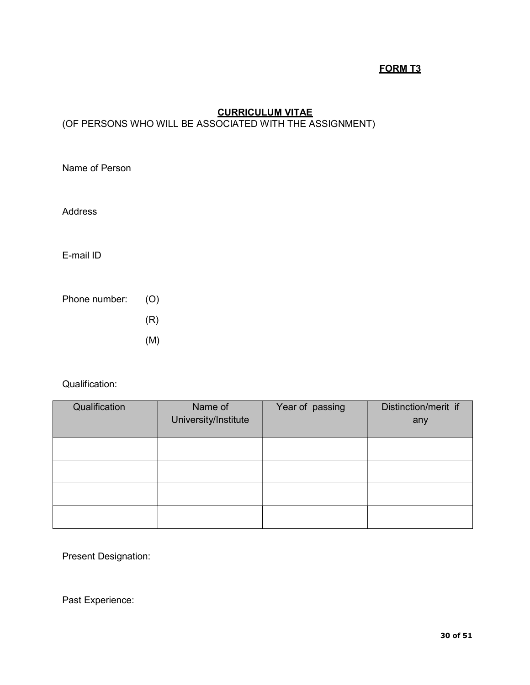# FORM T3

# **CURRICULUM VITAE**

# (OF PERSONS WHO WILL BE ASSOCIATED WITH THE ASSIGNMENT)

Name of Person

Address

E-mail ID

Phone number: (O)

(R)

(M)

## Qualification:

| Qualification | Name of<br>University/Institute | Year of passing | Distinction/merit if<br>any |
|---------------|---------------------------------|-----------------|-----------------------------|
|               |                                 |                 |                             |
|               |                                 |                 |                             |
|               |                                 |                 |                             |
|               |                                 |                 |                             |

Present Designation:

Past Experience: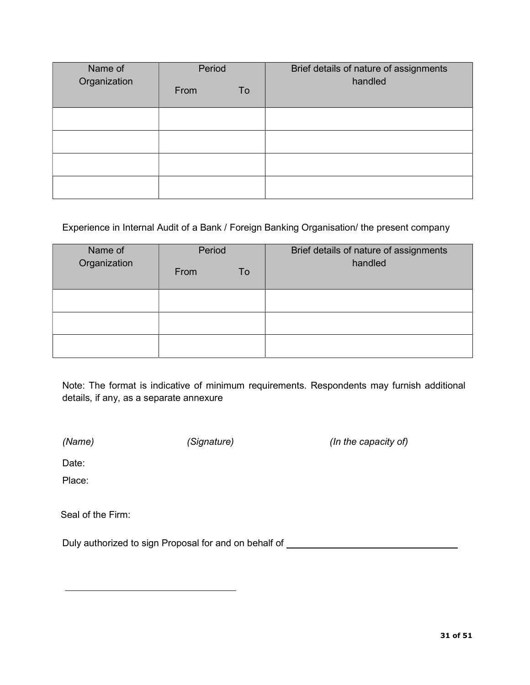| Name of      | Period |    | Brief details of nature of assignments |
|--------------|--------|----|----------------------------------------|
| Organization | From   | To | handled                                |
|              |        |    |                                        |
|              |        |    |                                        |
|              |        |    |                                        |
|              |        |    |                                        |

## Experience in Internal Audit of a Bank / Foreign Banking Organisation/ the present company

| Name of<br>Organization | Period |    | Brief details of nature of assignments |
|-------------------------|--------|----|----------------------------------------|
|                         | From   | To | handled                                |
|                         |        |    |                                        |
|                         |        |    |                                        |
|                         |        |    |                                        |

Note: The format is indicative of minimum requirements. Respondents may furnish additional details, if any, as a separate annexure

(Name) (Signature) (Signature (In the capacity of)

Date:

Place:

Seal of the Firm:

Duly authorized to sign Proposal for and on behalf of **construct and proportional construct on**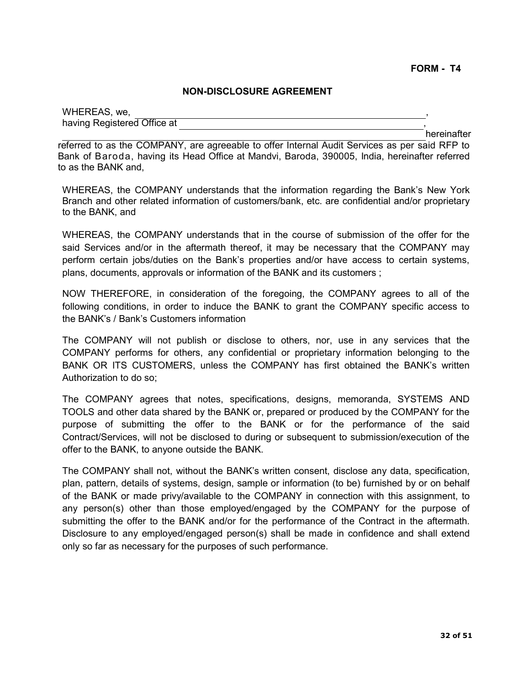#### NON-DISCLOSURE AGREEMENT

| WHEREAS, we,                |             |
|-----------------------------|-------------|
| having Registered Office at |             |
|                             | hereinafter |

referred to as the COMPANY, are agreeable to offer Internal Audit Services as per said RFP to Bank of Baroda, having its Head Office at Mandvi, Baroda, 390005, India, hereinafter referred to as the BANK and,

WHEREAS, the COMPANY understands that the information regarding the Bank's New York Branch and other related information of customers/bank, etc. are confidential and/or proprietary to the BANK, and

WHEREAS, the COMPANY understands that in the course of submission of the offer for the said Services and/or in the aftermath thereof, it may be necessary that the COMPANY may perform certain jobs/duties on the Bank's properties and/or have access to certain systems, plans, documents, approvals or information of the BANK and its customers ;

NOW THEREFORE, in consideration of the foregoing, the COMPANY agrees to all of the following conditions, in order to induce the BANK to grant the COMPANY specific access to the BANK's / Bank's Customers information

The COMPANY will not publish or disclose to others, nor, use in any services that the COMPANY performs for others, any confidential or proprietary information belonging to the BANK OR ITS CUSTOMERS, unless the COMPANY has first obtained the BANK's written Authorization to do so;

The COMPANY agrees that notes, specifications, designs, memoranda, SYSTEMS AND TOOLS and other data shared by the BANK or, prepared or produced by the COMPANY for the purpose of submitting the offer to the BANK or for the performance of the said Contract/Services, will not be disclosed to during or subsequent to submission/execution of the offer to the BANK, to anyone outside the BANK.

The COMPANY shall not, without the BANK's written consent, disclose any data, specification, plan, pattern, details of systems, design, sample or information (to be) furnished by or on behalf of the BANK or made privy/available to the COMPANY in connection with this assignment, to any person(s) other than those employed/engaged by the COMPANY for the purpose of submitting the offer to the BANK and/or for the performance of the Contract in the aftermath. Disclosure to any employed/engaged person(s) shall be made in confidence and shall extend only so far as necessary for the purposes of such performance.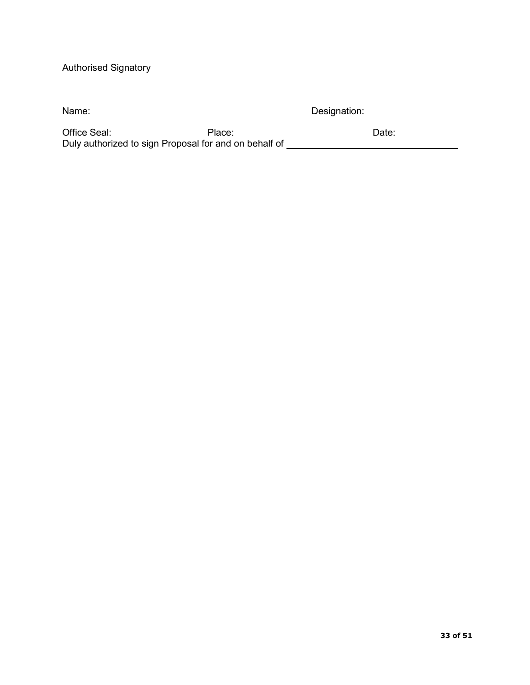# Authorised Signatory

| Name:        | Designation: |       |
|--------------|--------------|-------|
| Office Seal: | Place:       | Date: |

Duly authorized to sign Proposal for and on behalf of

33 of 51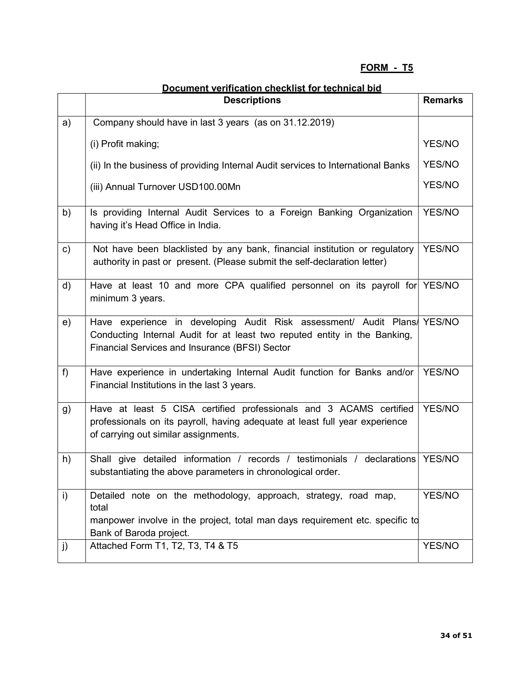# FORM - T5

|    | <b>Descriptions</b>                                                                                                                                                                                     | <b>Remarks</b> |
|----|---------------------------------------------------------------------------------------------------------------------------------------------------------------------------------------------------------|----------------|
| a) | Company should have in last 3 years (as on 31.12.2019)                                                                                                                                                  |                |
|    | (i) Profit making;                                                                                                                                                                                      | YES/NO         |
|    | (ii) In the business of providing Internal Audit services to International Banks                                                                                                                        | <b>YES/NO</b>  |
|    | (iii) Annual Turnover USD100.00Mn                                                                                                                                                                       | YES/NO         |
| b) | Is providing Internal Audit Services to a Foreign Banking Organization<br>having it's Head Office in India.                                                                                             | YES/NO         |
| c) | Not have been blacklisted by any bank, financial institution or regulatory<br>authority in past or present. (Please submit the self-declaration letter)                                                 | YES/NO         |
| d) | Have at least 10 and more CPA qualified personnel on its payroll for $YES/NO$<br>minimum 3 years.                                                                                                       |                |
| e) | Have experience in developing Audit Risk assessment/ Audit Plans/ YES/NO<br>Conducting Internal Audit for at least two reputed entity in the Banking,<br>Financial Services and Insurance (BFSI) Sector |                |
| f) | Have experience in undertaking Internal Audit function for Banks and/or<br>Financial Institutions in the last 3 years.                                                                                  | YES/NO         |
| g) | Have at least 5 CISA certified professionals and 3 ACAMS certified<br>professionals on its payroll, having adequate at least full year experience<br>of carrying out similar assignments.               | YES/NO         |
| h) | Shall give detailed information / records / testimonials / declarations<br>substantiating the above parameters in chronological order.                                                                  | YES/NO         |
| i) | Detailed note on the methodology, approach, strategy, road map,<br>total<br>manpower involve in the project, total man days requirement etc. specific to                                                | YES/NO         |
|    | Bank of Baroda project.                                                                                                                                                                                 |                |
| j) | Attached Form T1, T2, T3, T4 & T5                                                                                                                                                                       | YES/NO         |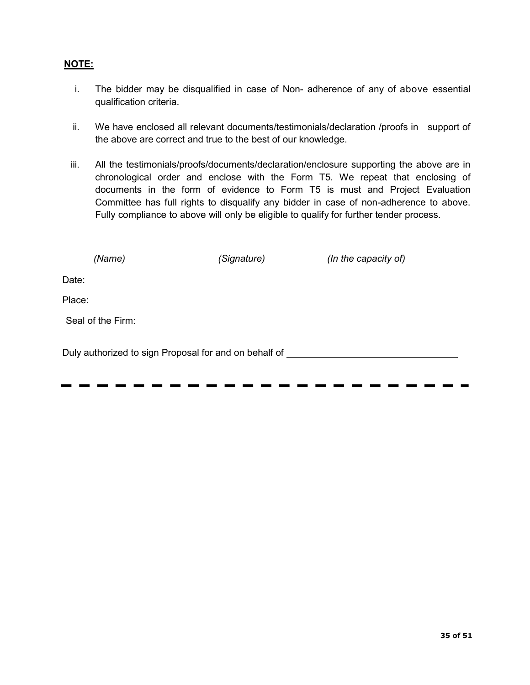## NOTE:

- i. The bidder may be disqualified in case of Non- adherence of any of above essential qualification criteria.
- ii. We have enclosed all relevant documents/testimonials/declaration /proofs in support of the above are correct and true to the best of our knowledge.
- iii. All the testimonials/proofs/documents/declaration/enclosure supporting the above are in chronological order and enclose with the Form T5. We repeat that enclosing of documents in the form of evidence to Form T5 is must and Project Evaluation Committee has full rights to disqualify any bidder in case of non-adherence to above. Fully compliance to above will only be eligible to qualify for further tender process.

| (Name)            |                                                       | (Signature) | (In the capacity of) |
|-------------------|-------------------------------------------------------|-------------|----------------------|
| Date:             |                                                       |             |                      |
| Place:            |                                                       |             |                      |
| Seal of the Firm: |                                                       |             |                      |
|                   | Duly authorized to sign Proposal for and on behalf of |             |                      |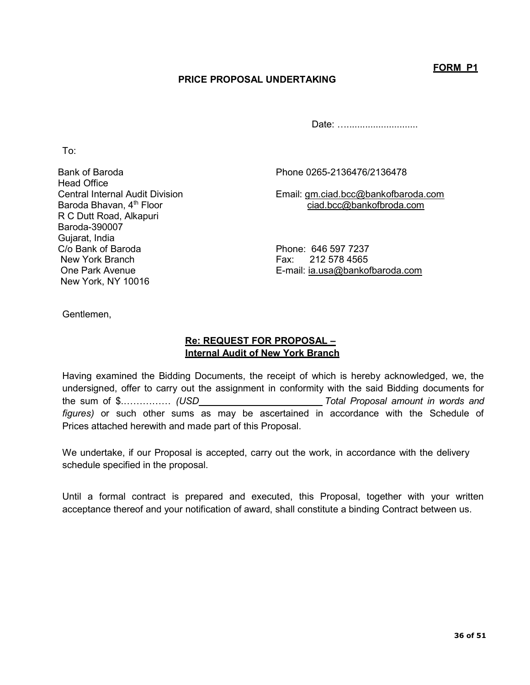FORM P1

## PRICE PROPOSAL UNDERTAKING

Date: …………………………

To:

Bank of Baroda Phone 0265-2136476/2136478 Head Office R C Dutt Road, Alkapuri Baroda-390007 Gujarat, India C/o Bank of Baroda Phone: 646 597 7237 New York Branch Fax: 212 578 4565 New York, NY 10016

Central Internal Audit Division Email: <u>gm.ciad.bcc@bankofbaroda.com</u><br>Baroda Bhavan, 4<sup>th</sup> Floor exerces in the ciad.bcc@bankofbroda.com ciad.bcc@bankofbroda.com

One Park Avenue E-mail: ia.usa@bankofbaroda.com

Gentlemen,

## Re: REQUEST FOR PROPOSAL – Internal Audit of New York Branch

Having examined the Bidding Documents, the receipt of which is hereby acknowledged, we, the undersigned, offer to carry out the assignment in conformity with the said Bidding documents for the sum of \$................. (USD Total Proposal amount in words and figures) or such other sums as may be ascertained in accordance with the Schedule of Prices attached herewith and made part of this Proposal.

We undertake, if our Proposal is accepted, carry out the work, in accordance with the delivery schedule specified in the proposal.

Until a formal contract is prepared and executed, this Proposal, together with your written acceptance thereof and your notification of award, shall constitute a binding Contract between us.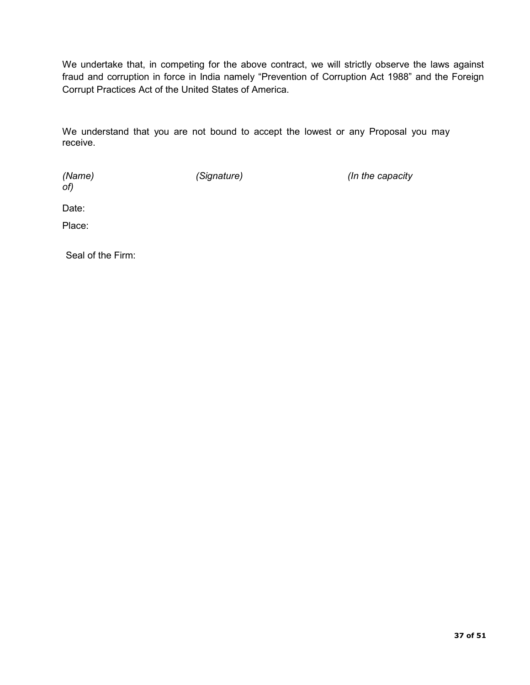We undertake that, in competing for the above contract, we will strictly observe the laws against fraud and corruption in force in India namely "Prevention of Corruption Act 1988" and the Foreign Corrupt Practices Act of the United States of America.

We understand that you are not bound to accept the lowest or any Proposal you may receive.

of)

(Name) (Signature) (Signature (Signature  $\sim$  (In the capacity

Date:

Place:

Seal of the Firm: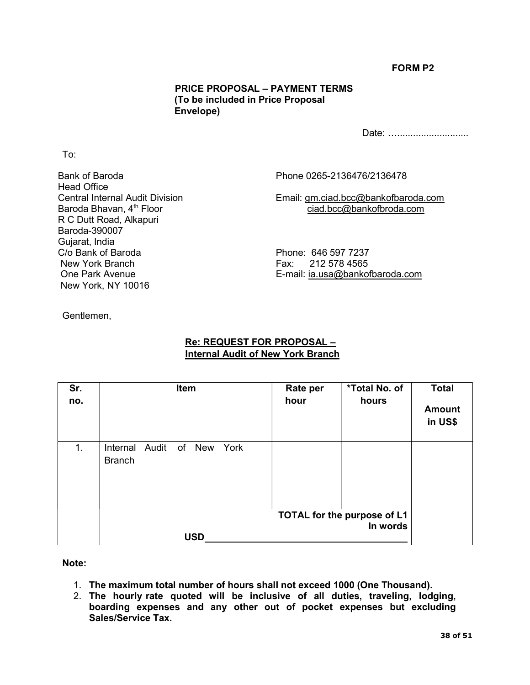## FORM P2

## PRICE PROPOSAL – PAYMENT TERMS (To be included in Price Proposal Envelope)

Date: …………………………

Bank of Baroda Phone 0265-2136476/2136478 Head Office R C Dutt Road, Alkapuri Baroda-390007 Gujarat, India<br>C/o Bank of Baroda C/o Bank of Baroda Phone: 646 597 7237<br>New York Branch Fax: 212 578 4565 New York, NY 10016

Central Internal Audit Division Email: gm.ciad.bcc@bankofbaroda.com Baroda Bhavan, 4<sup>th</sup> Floor ciad.bcc@bankofbroda.com

Fax: 212 578 4565 One Park Avenue **E-mail:** ia.usa@bankofbaroda.com

Gentlemen,

To:

## Re: REQUEST FOR PROPOSAL – Internal Audit of New York Branch

| Sr.<br>no. | Item                                           | <b>Rate per</b><br>hour | *Total No. of<br>hours                  | <b>Total</b><br><b>Amount</b><br>in US\$ |
|------------|------------------------------------------------|-------------------------|-----------------------------------------|------------------------------------------|
| 1.         | Internal Audit<br>of New York<br><b>Branch</b> |                         |                                         |                                          |
|            |                                                |                         | TOTAL for the purpose of L1<br>In words |                                          |
|            | <b>USD</b>                                     |                         |                                         |                                          |

Note:

- 1. The maximum total number of hours shall not exceed 1000 (One Thousand).
- 2. The hourly rate quoted will be inclusive of all duties, traveling, lodging, boarding expenses and any other out of pocket expenses but excluding Sales/Service Tax.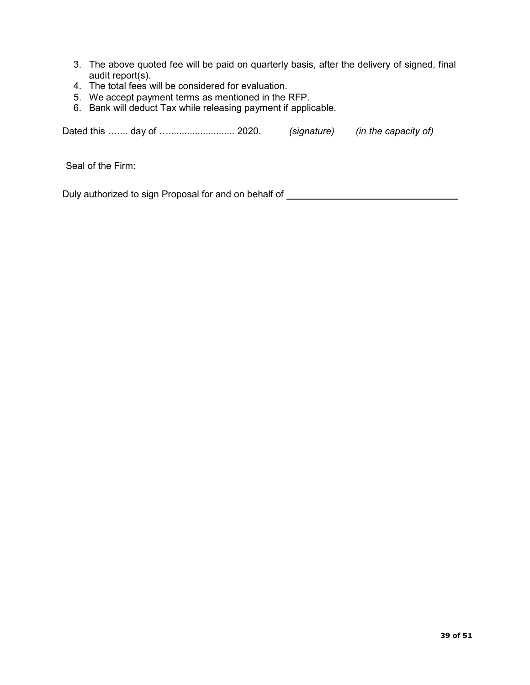- 3. The above quoted fee will be paid on quarterly basis, after the delivery of signed, final audit report(s).
- 4. The total fees will be considered for evaluation.
- 5. We accept payment terms as mentioned in the RFP.
- 6. Bank will deduct Tax while releasing payment if applicable.

Dated this ….... day of …......................... 2020. (signature) (in the capacity of)

Seal of the Firm:

Duly authorized to sign Proposal for and on behalf of \_\_\_\_\_\_\_\_\_\_\_\_\_\_\_\_\_\_\_\_\_\_\_\_\_\_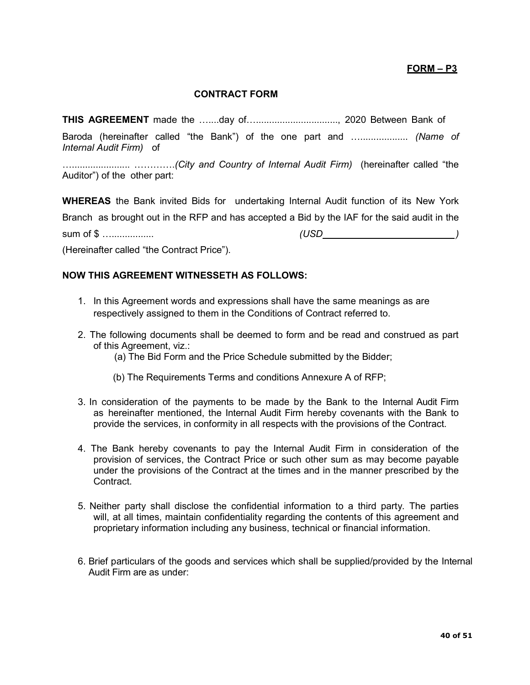## FORM – P3

#### CONTRACT FORM

THIS AGREEMENT made the …....day of…..............................., 2020 Between Bank of

Baroda (hereinafter called "the Bank") of the one part and ...................... (Name of Internal Audit Firm) of

…...................... ………….(City and Country of Internal Audit Firm) (hereinafter called "the Auditor") of the other part:

WHEREAS the Bank invited Bids for undertaking Internal Audit function of its New York Branch as brought out in the RFP and has accepted a Bid by the IAF for the said audit in the sum of \$ …................ (USD )

(Hereinafter called "the Contract Price").

#### NOW THIS AGREEMENT WITNESSETH AS FOLLOWS:

- 1. In this Agreement words and expressions shall have the same meanings as are respectively assigned to them in the Conditions of Contract referred to.
- 2. The following documents shall be deemed to form and be read and construed as part of this Agreement, viz.:
	- (a) The Bid Form and the Price Schedule submitted by the Bidder;
	- (b) The Requirements Terms and conditions Annexure A of RFP;
- 3. In consideration of the payments to be made by the Bank to the Internal Audit Firm as hereinafter mentioned, the Internal Audit Firm hereby covenants with the Bank to provide the services, in conformity in all respects with the provisions of the Contract.
- 4. The Bank hereby covenants to pay the Internal Audit Firm in consideration of the provision of services, the Contract Price or such other sum as may become payable under the provisions of the Contract at the times and in the manner prescribed by the Contract.
- 5. Neither party shall disclose the confidential information to a third party. The parties will, at all times, maintain confidentiality regarding the contents of this agreement and proprietary information including any business, technical or financial information.
- 6. Brief particulars of the goods and services which shall be supplied/provided by the Internal Audit Firm are as under: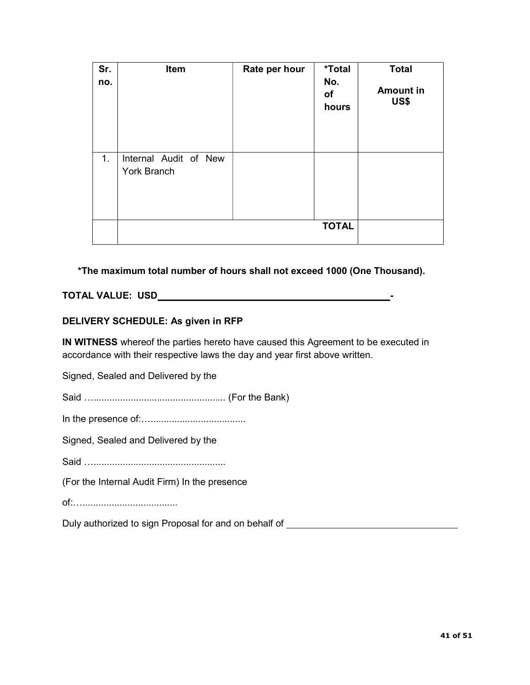| Sr.<br>no. | Item                                        | Rate per hour | *Total<br>No.<br><b>of</b><br>hours | <b>Total</b><br><b>Amount in</b><br>US\$ |
|------------|---------------------------------------------|---------------|-------------------------------------|------------------------------------------|
| 1.         | Internal Audit of New<br><b>York Branch</b> |               |                                     |                                          |
|            |                                             |               | <b>TOTAL</b>                        |                                          |

\*The maximum total number of hours shall not exceed 1000 (One Thousand).

### TOTAL VALUE: USD -

#### DELIVERY SCHEDULE: As given in RFP

IN WITNESS whereof the parties hereto have caused this Agreement to be executed in accordance with their respective laws the day and year first above written.

Signed, Sealed and Delivered by the

Said ….................................................. (For the Bank)

In the presence of:…....................................

Signed, Sealed and Delivered by the

Said ……………………………………………

(For the Internal Audit Firm) In the presence

of:…....................................

Duly authorized to sign Proposal for and on behalf of **construction** and the proposal for an analyzing proposition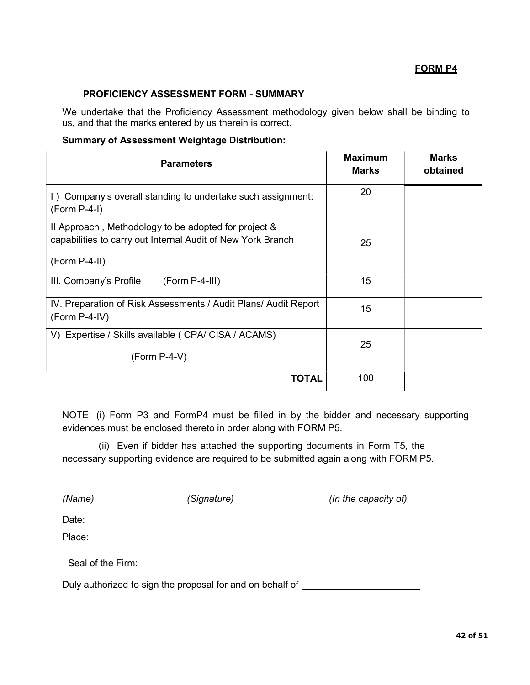### FORM P4

#### PROFICIENCY ASSESSMENT FORM - SUMMARY

We undertake that the Proficiency Assessment methodology given below shall be binding to us, and that the marks entered by us therein is correct.

#### Summary of Assessment Weightage Distribution:

| <b>Parameters</b>                                                                                                                      | <b>Maximum</b><br><b>Marks</b> | <b>Marks</b><br>obtained |
|----------------------------------------------------------------------------------------------------------------------------------------|--------------------------------|--------------------------|
| I) Company's overall standing to undertake such assignment:<br>$(Form P-4-I)$                                                          | 20                             |                          |
| Il Approach, Methodology to be adopted for project &<br>capabilities to carry out Internal Audit of New York Branch<br>$(Form P-4-II)$ | 25                             |                          |
| III. Company's Profile<br>$(Form P-4-III)$                                                                                             | 15                             |                          |
| IV. Preparation of Risk Assessments / Audit Plans/ Audit Report<br>$(Form P-4-IV)$                                                     | 15                             |                          |
| V) Expertise / Skills available ( CPA/ CISA / ACAMS)<br>$(Form P-4-V)$                                                                 | 25                             |                          |
| TOTAL                                                                                                                                  | 100                            |                          |

NOTE: (i) Form P3 and FormP4 must be filled in by the bidder and necessary supporting evidences must be enclosed thereto in order along with FORM P5.

(ii) Even if bidder has attached the supporting documents in Form T5, the necessary supporting evidence are required to be submitted again along with FORM P5.

(Name) (Signature) (Signature (In the capacity of)

Date:

Place:

Seal of the Firm:

Duly authorized to sign the proposal for and on behalf of \_\_\_\_\_\_\_\_\_\_\_\_\_\_\_\_\_\_\_\_\_\_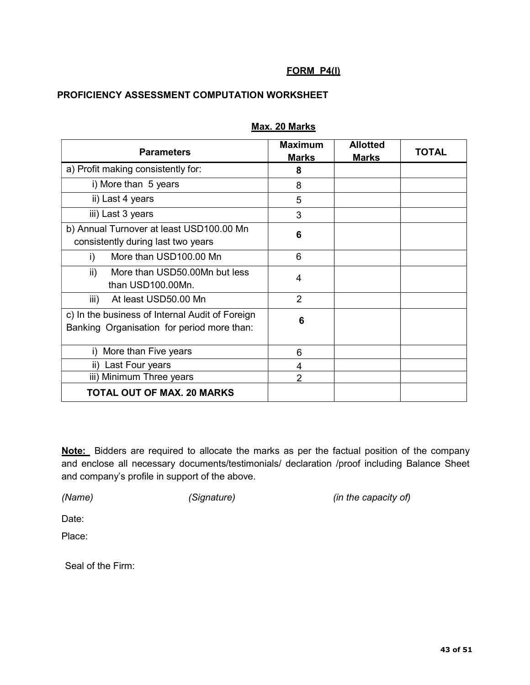## FORM P4(I)

## PROFICIENCY ASSESSMENT COMPUTATION WORKSHEET

| <b>Parameters</b>                                                                             | <b>Maximum</b> | <b>Allotted</b> | <b>TOTAL</b> |
|-----------------------------------------------------------------------------------------------|----------------|-----------------|--------------|
|                                                                                               | <b>Marks</b>   | <b>Marks</b>    |              |
| a) Profit making consistently for:                                                            | 8              |                 |              |
| i) More than 5 years                                                                          | 8              |                 |              |
| ii) Last 4 years                                                                              | 5              |                 |              |
| iii) Last 3 years                                                                             | 3              |                 |              |
| b) Annual Turnover at least USD100.00 Mn<br>consistently during last two years                | 6              |                 |              |
| More than USD100.00 Mn<br>i)                                                                  | 6              |                 |              |
| More than USD50.00Mn but less<br>ii)<br>than USD100.00Mn.                                     | 4              |                 |              |
| At least USD50.00 Mn<br>iii)                                                                  | $\overline{2}$ |                 |              |
| c) In the business of Internal Audit of Foreign<br>Banking Organisation for period more than: | 6              |                 |              |
| More than Five years<br>i)                                                                    | 6              |                 |              |
| Last Four years<br>ii)                                                                        | 4              |                 |              |
| iii) Minimum Three years                                                                      | $\overline{2}$ |                 |              |
| <b>TOTAL OUT OF MAX. 20 MARKS</b>                                                             |                |                 |              |

## Max. 20 Marks

Note: Bidders are required to allocate the marks as per the factual position of the company and enclose all necessary documents/testimonials/ declaration /proof including Balance Sheet and company's profile in support of the above.

(Name) (Signature) (Signature (Signature and the capacity of)

Date:

Place:

Seal of the Firm: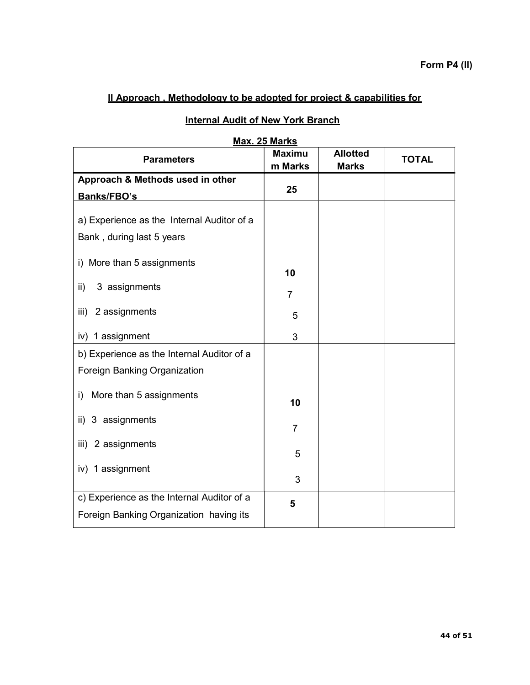# II Approach , Methodology to be adopted for project & capabilities for

| Max. 25 Marks                                                           |                          |                                 |              |  |
|-------------------------------------------------------------------------|--------------------------|---------------------------------|--------------|--|
| <b>Parameters</b>                                                       | <b>Maximu</b><br>m Marks | <b>Allotted</b><br><b>Marks</b> | <b>TOTAL</b> |  |
| Approach & Methods used in other                                        |                          |                                 |              |  |
| Banks/FBO's                                                             | 25                       |                                 |              |  |
| a) Experience as the Internal Auditor of a<br>Bank, during last 5 years |                          |                                 |              |  |
| i) More than 5 assignments                                              | 10                       |                                 |              |  |
| 3 assignments<br>ii)                                                    | $\overline{7}$           |                                 |              |  |
| 2 assignments<br>iii)                                                   | 5                        |                                 |              |  |
| iv) 1 assignment                                                        | 3                        |                                 |              |  |
| b) Experience as the Internal Auditor of a                              |                          |                                 |              |  |
| Foreign Banking Organization                                            |                          |                                 |              |  |
| More than 5 assignments<br>$\mathsf{i}$                                 | 10                       |                                 |              |  |
| ii) 3 assignments                                                       | $\overline{7}$           |                                 |              |  |
| 2 assignments<br>iii)                                                   | 5                        |                                 |              |  |
| iv) 1 assignment                                                        | 3                        |                                 |              |  |
| c) Experience as the Internal Auditor of a                              | 5                        |                                 |              |  |
| Foreign Banking Organization having its                                 |                          |                                 |              |  |

# **Internal Audit of New York Branch**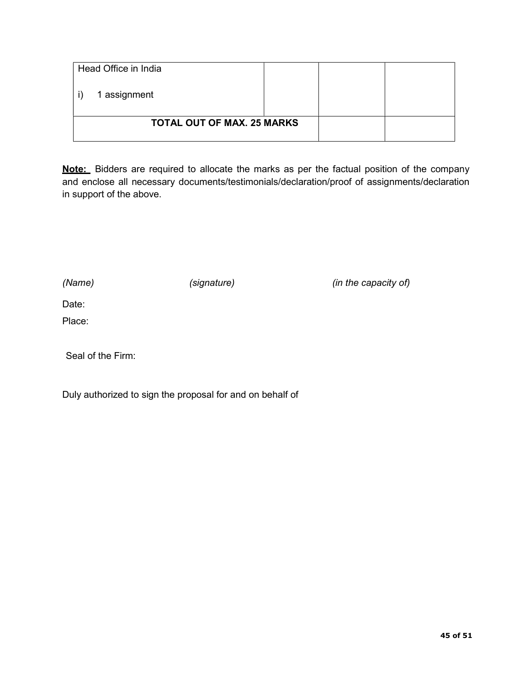| Head Office in India              |  |  |
|-----------------------------------|--|--|
| 1 assignment                      |  |  |
| <b>TOTAL OUT OF MAX. 25 MARKS</b> |  |  |

Note: Bidders are required to allocate the marks as per the factual position of the company and enclose all necessary documents/testimonials/declaration/proof of assignments/declaration in support of the above.

(Name) (signature) (signature (signature  $(in$  the capacity of)

Date:

Place:

Seal of the Firm:

Duly authorized to sign the proposal for and on behalf of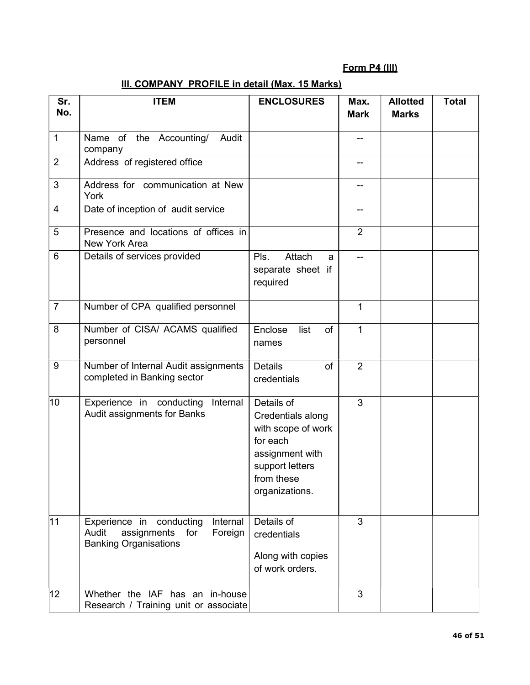# Form P4 (III)

| III. COMPANY PROFILE in detail (Max. 15 Marks) |  |
|------------------------------------------------|--|
|------------------------------------------------|--|

| Sr.<br>No.      | <b>ITEM</b>                                                                                                    | <b>ENCLOSURES</b>                                                                                                                       | Max.<br><b>Mark</b> | <b>Allotted</b><br><b>Marks</b> | <b>Total</b> |
|-----------------|----------------------------------------------------------------------------------------------------------------|-----------------------------------------------------------------------------------------------------------------------------------------|---------------------|---------------------------------|--------------|
| $\mathbf{1}$    | Name of the Accounting/<br>Audit<br>company                                                                    |                                                                                                                                         |                     |                                 |              |
| $\overline{2}$  | Address of registered office                                                                                   |                                                                                                                                         |                     |                                 |              |
| 3               | Address for communication at New<br>York                                                                       |                                                                                                                                         |                     |                                 |              |
| $\overline{4}$  | Date of inception of audit service                                                                             |                                                                                                                                         |                     |                                 |              |
| 5               | Presence and locations of offices in<br>New York Area                                                          |                                                                                                                                         | $\overline{2}$      |                                 |              |
| $6\phantom{1}6$ | Details of services provided                                                                                   | Attach<br>Pls.<br>a<br>separate sheet if<br>required                                                                                    |                     |                                 |              |
| $\overline{7}$  | Number of CPA qualified personnel                                                                              |                                                                                                                                         | 1                   |                                 |              |
| 8               | Number of CISA/ ACAMS qualified<br>personnel                                                                   | Enclose<br>list<br>of<br>names                                                                                                          | $\mathbf{1}$        |                                 |              |
| $9\,$           | Number of Internal Audit assignments<br>completed in Banking sector                                            | <b>Details</b><br>of<br>credentials                                                                                                     | $\overline{2}$      |                                 |              |
| 10              | Experience in conducting<br>Internal<br>Audit assignments for Banks                                            | Details of<br>Credentials along<br>with scope of work<br>for each<br>assignment with<br>support letters<br>from these<br>organizations. | 3                   |                                 |              |
| 11              | Internal<br>Experience in conducting<br>Audit<br>assignments<br>for<br>Foreign<br><b>Banking Organisations</b> | Details of<br>credentials<br>Along with copies<br>of work orders.                                                                       | 3                   |                                 |              |
| 12              | Whether the IAF has an in-house<br>Research / Training unit or associate                                       |                                                                                                                                         | 3                   |                                 |              |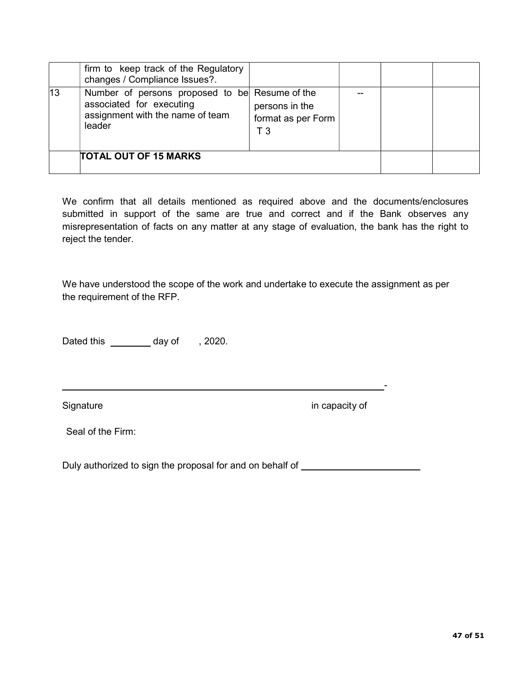|    | firm to keep track of the Regulatory<br>changes / Compliance Issues?.                                                    |                                             |  |  |
|----|--------------------------------------------------------------------------------------------------------------------------|---------------------------------------------|--|--|
| 13 | Number of persons proposed to be Resume of the<br>associated for executing<br>assignment with the name of team<br>leader | persons in the<br>format as per Form<br>T 3 |  |  |
|    | <b>TOTAL OUT OF 15 MARKS</b>                                                                                             |                                             |  |  |

We confirm that all details mentioned as required above and the documents/enclosures submitted in support of the same are true and correct and if the Bank observes any misrepresentation of facts on any matter at any stage of evaluation, the bank has the right to reject the tender.

We have understood the scope of the work and undertake to execute the assignment as per the requirement of the RFP.

Dated this \_\_\_\_\_\_\_\_\_ day of , 2020.

Signature in capacity of

Seal of the Firm:

Duly authorized to sign the proposal for and on behalf of \_\_\_\_\_\_\_\_\_\_\_\_\_\_\_\_\_\_\_\_\_\_

<u>- Andreas Andreas Andreas Andreas Andreas Andreas Andreas Andreas Andreas Andreas Andreas Andreas Andreas And</u>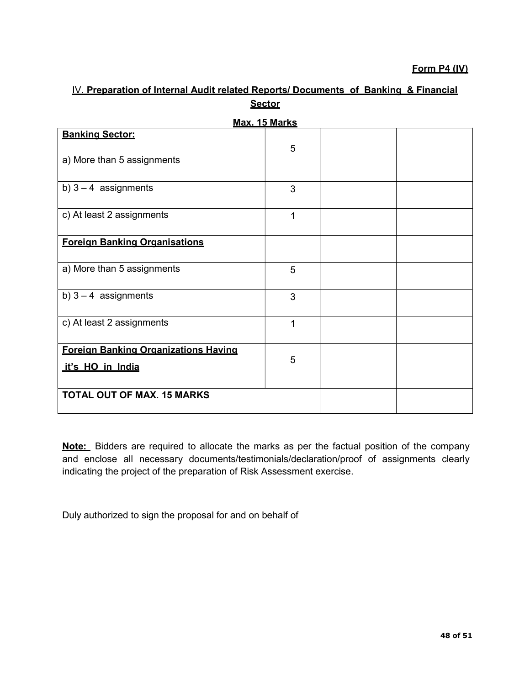## Form P4 (IV)

| Max. 15 Marks                        |   |  |  |  |
|--------------------------------------|---|--|--|--|
|                                      |   |  |  |  |
| <b>Banking Sector:</b>               |   |  |  |  |
|                                      | 5 |  |  |  |
| a) More than 5 assignments           |   |  |  |  |
|                                      |   |  |  |  |
| b) $3 - 4$ assignments               | 3 |  |  |  |
|                                      |   |  |  |  |
|                                      |   |  |  |  |
| c) At least 2 assignments            | 1 |  |  |  |
|                                      |   |  |  |  |
| <b>Foreign Banking Organisations</b> |   |  |  |  |
|                                      |   |  |  |  |
| a) More than 5 assignments           | 5 |  |  |  |
|                                      |   |  |  |  |
|                                      |   |  |  |  |
| b) $3 - 4$ assignments               | 3 |  |  |  |
|                                      |   |  |  |  |
| c) At least 2 assignments            | 1 |  |  |  |
|                                      |   |  |  |  |
| Foreian Banking Organizations Having |   |  |  |  |
|                                      | 5 |  |  |  |
| it's HO in India                     |   |  |  |  |
|                                      |   |  |  |  |
| <b>TOTAL OUT OF MAX. 15 MARKS</b>    |   |  |  |  |
|                                      |   |  |  |  |
|                                      |   |  |  |  |

# IV. Preparation of Internal Audit related Reports/ Documents of Banking & Financial **Sector**

Note: Bidders are required to allocate the marks as per the factual position of the company and enclose all necessary documents/testimonials/declaration/proof of assignments clearly indicating the project of the preparation of Risk Assessment exercise.

Duly authorized to sign the proposal for and on behalf of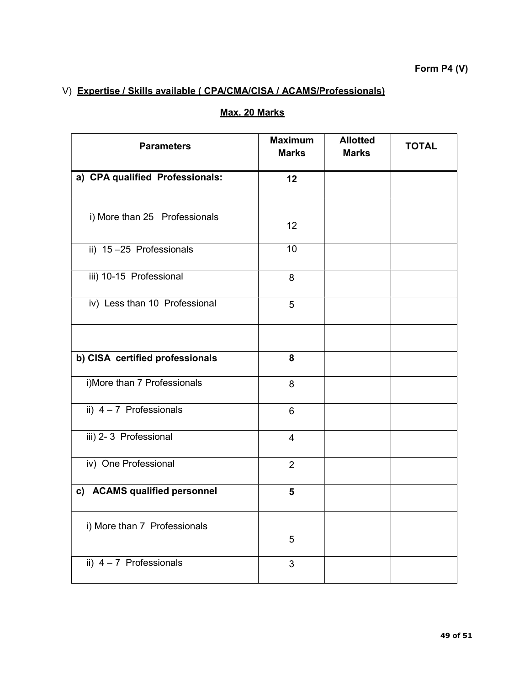# V) Expertise / Skills available ( CPA/CMA/CISA / ACAMS/Professionals)

| <b>Parameters</b>               | <b>Maximum</b><br><b>Marks</b> | <b>Allotted</b><br><b>Marks</b> | <b>TOTAL</b> |
|---------------------------------|--------------------------------|---------------------------------|--------------|
| a) CPA qualified Professionals: | 12                             |                                 |              |
| i) More than 25 Professionals   | 12                             |                                 |              |
| ii) 15-25 Professionals         | 10                             |                                 |              |
| iii) 10-15 Professional         | 8                              |                                 |              |
| iv) Less than 10 Professional   | 5                              |                                 |              |
|                                 |                                |                                 |              |
| b) CISA certified professionals | 8                              |                                 |              |
| i)More than 7 Professionals     | 8                              |                                 |              |
| ii) $4 - 7$ Professionals       | 6                              |                                 |              |
| iii) 2-3 Professional           | $\overline{4}$                 |                                 |              |
| iv) One Professional            | $\overline{2}$                 |                                 |              |
| c) ACAMS qualified personnel    | 5                              |                                 |              |
| i) More than 7 Professionals    | 5                              |                                 |              |
| ii) $4 - 7$ Professionals       | 3                              |                                 |              |

# Max. 20 Marks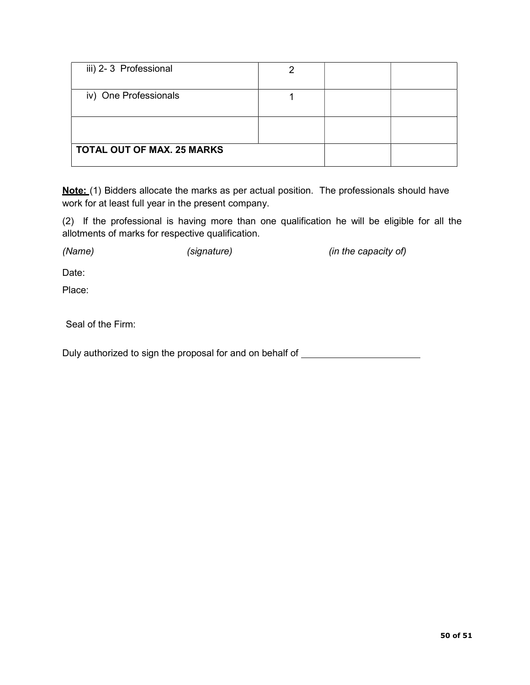| iii) 2-3 Professional             |  |  |
|-----------------------------------|--|--|
| iv) One Professionals             |  |  |
|                                   |  |  |
| <b>TOTAL OUT OF MAX. 25 MARKS</b> |  |  |

Note: (1) Bidders allocate the marks as per actual position. The professionals should have work for at least full year in the present company.

(2) If the professional is having more than one qualification he will be eligible for all the allotments of marks for respective qualification.

(Name) (signature) (signature (signature  $(in$  the capacity of)

Date:

Place:

Seal of the Firm:

Duly authorized to sign the proposal for and on behalf of \_\_\_\_\_\_\_\_\_\_\_\_\_\_\_\_\_\_\_\_\_\_